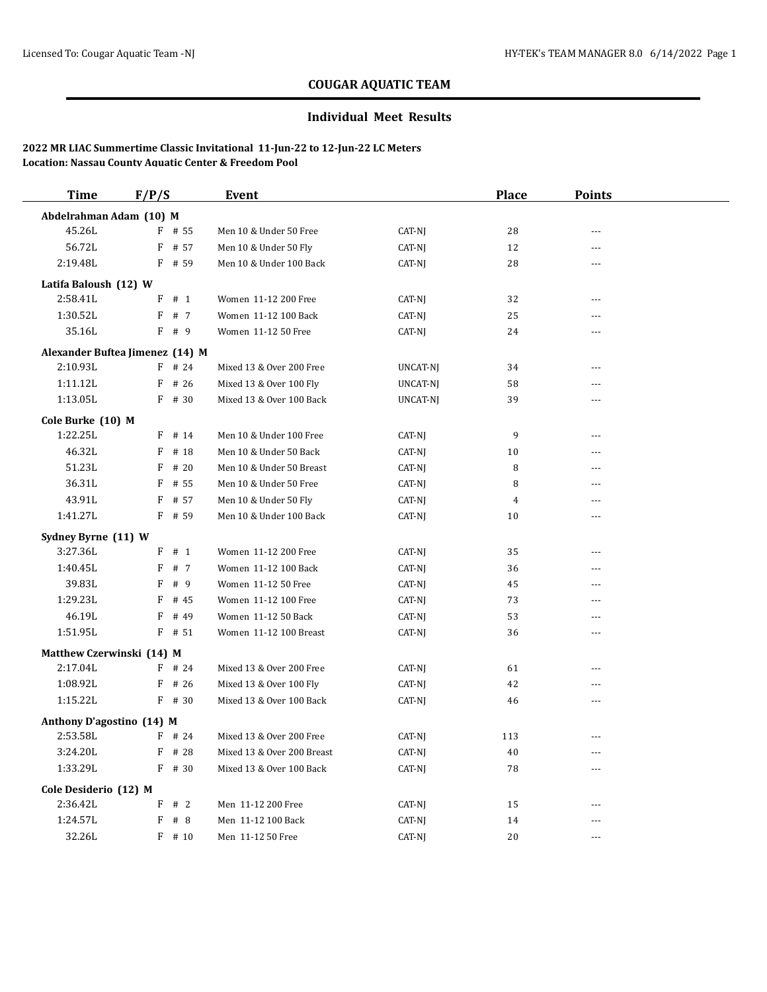### **Individual Meet Results**

| <b>Time</b>                     | F/P/S  |                  | Event                                             |          | <b>Place</b>   | <b>Points</b>         |  |
|---------------------------------|--------|------------------|---------------------------------------------------|----------|----------------|-----------------------|--|
| Abdelrahman Adam (10) M         |        |                  |                                                   |          |                |                       |  |
| 45.26L                          |        | $F$ # 55         | Men 10 & Under 50 Free                            | CAT-NJ   | 28             | $-$                   |  |
| 56.72L                          |        | F # 57           | Men 10 & Under 50 Fly                             | CAT-NJ   | 12             | ---                   |  |
| 2:19.48L                        |        | F # 59           | Men 10 & Under 100 Back                           | CAT-NJ   | 28             | ---                   |  |
| Latifa Baloush (12) W           |        |                  |                                                   |          |                |                       |  |
| 2:58.41L                        | F      | # 1              | Women 11-12 200 Free                              | CAT-NJ   | 32             | $-$                   |  |
| 1:30.52L                        | F      | # 7              | Women 11-12 100 Back                              | CAT-NJ   | 25             | ---                   |  |
| 35.16L                          |        | F # 9            | Women 11-12 50 Free                               | CAT-NJ   | 24             | ---                   |  |
| Alexander Buftea Jimenez (14) M |        |                  |                                                   |          |                |                       |  |
| 2:10.93L                        |        | $F$ # 24         | Mixed 13 & Over 200 Free                          | UNCAT-NJ | 34             | $-$                   |  |
| 1:11.12L                        |        | $F$ # 26         | Mixed 13 & Over 100 Fly                           | UNCAT-NJ | 58             | ---                   |  |
| 1:13.05L                        |        | F # 30           | Mixed 13 & Over 100 Back                          | UNCAT-NJ | 39             | ---                   |  |
|                                 |        |                  |                                                   |          |                |                       |  |
| Cole Burke (10) M<br>1:22.25L   |        |                  |                                                   |          | 9              |                       |  |
| 46.32L                          |        | $F$ # 14<br># 18 | Men 10 & Under 100 Free<br>Men 10 & Under 50 Back | CAT-NJ   | 10             | ---                   |  |
| 51.23L                          | F<br>F | # 20             | Men 10 & Under 50 Breast                          | CAT-NJ   | 8              | ---<br>$-$            |  |
| 36.31L                          | F      | # 55             | Men 10 & Under 50 Free                            | CAT-NJ   | 8              | $\overline{a}$        |  |
|                                 |        |                  |                                                   | CAT-NJ   |                |                       |  |
| 43.91L<br>1:41.27L              | F      | # 57             | Men 10 & Under 50 Fly<br>Men 10 & Under 100 Back  | CAT-NJ   | $\overline{4}$ | ---<br>$\overline{a}$ |  |
|                                 |        | $F$ # 59         |                                                   | CAT-NJ   | 10             |                       |  |
| Sydney Byrne (11) W             |        |                  |                                                   |          |                |                       |  |
| 3:27.36L                        |        | $F$ # 1          | Women 11-12 200 Free                              | CAT-NJ   | 35             | $-$                   |  |
| 1:40.45L                        | F      | # 7              | Women 11-12 100 Back                              | CAT-NJ   | 36             | ---                   |  |
| 39.83L                          | F      | # 9              | Women 11-12 50 Free                               | CAT-NJ   | 45             | ---                   |  |
| 1:29.23L                        | F      | # 45             | Women 11-12 100 Free                              | CAT-NJ   | 73             | $- - -$               |  |
| 46.19L                          | F      | # 49             | Women 11-12 50 Back                               | CAT-NJ   | 53             | ---                   |  |
| 1:51.95L                        |        | $F$ # 51         | Women 11-12 100 Breast                            | CAT-NJ   | 36             | $-$                   |  |
| Matthew Czerwinski (14) M       |        |                  |                                                   |          |                |                       |  |
| 2:17.04L                        |        | $F$ # 24         | Mixed 13 & Over 200 Free                          | CAT-NJ   | 61             | $\overline{a}$        |  |
| 1:08.92L                        |        | $F$ # 26         | Mixed 13 & Over 100 Fly                           | CAT-NJ   | 42             | ---                   |  |
| 1:15.22L                        |        | $F$ # 30         | Mixed 13 & Over 100 Back                          | CAT-NJ   | 46             | ---                   |  |
| Anthony D'agostino (14) M       |        |                  |                                                   |          |                |                       |  |
| 2:53.58L                        |        | $F$ # 24         | Mixed 13 & Over 200 Free                          | CAT-NJ   | 113            | $\overline{a}$        |  |
| 3:24.20L                        | F      | # 28             | Mixed 13 & Over 200 Breast                        | CAT-NJ   | 40             | ---                   |  |
| 1:33.29L                        |        | $F$ # 30         | Mixed 13 & Over 100 Back                          | CAT-NJ   | 78             | ---                   |  |
| Cole Desiderio (12) M           |        |                  |                                                   |          |                |                       |  |
| 2:36.42L                        |        | F # 2            | Men 11-12 200 Free                                | CAT-NJ   | 15             | ---                   |  |
| 1:24.57L                        |        | F # 8            | Men 11-12 100 Back                                | CAT-NJ   | 14             | ---                   |  |
| 32.26L                          |        | $F$ # 10         | Men 11-12 50 Free                                 | CAT-NJ   | 20             | $- - -$               |  |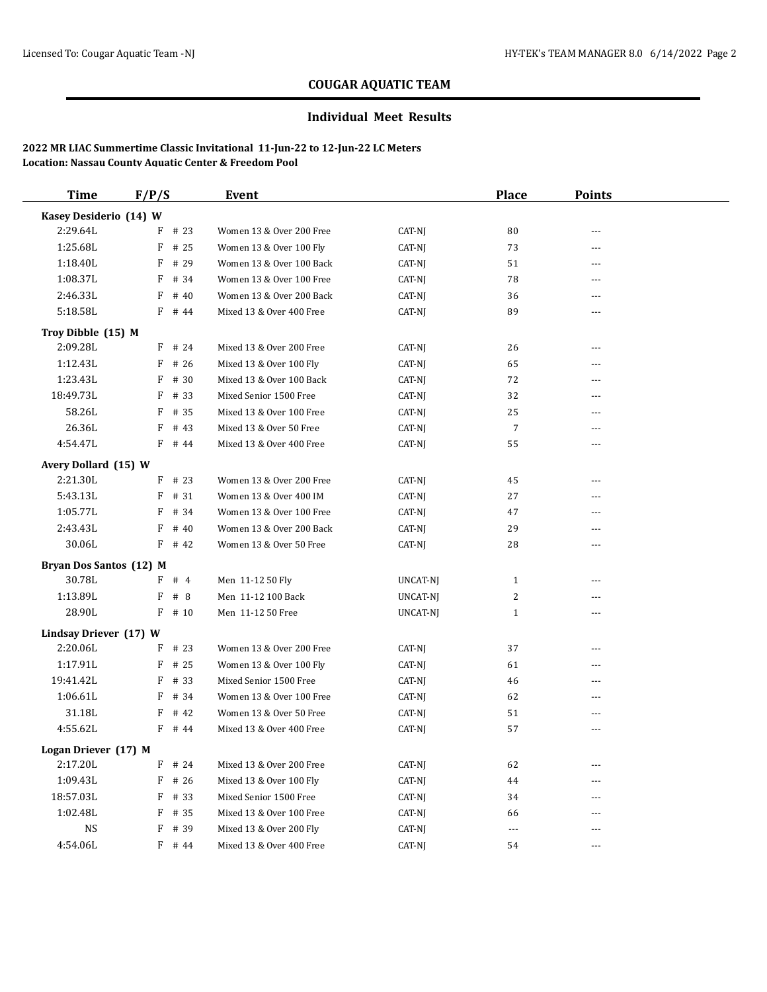### **Individual Meet Results**

| <b>Time</b>             | F/P/S |          | <b>Event</b>             |          | <b>Place</b>         | <b>Points</b>  |  |
|-------------------------|-------|----------|--------------------------|----------|----------------------|----------------|--|
| Kasey Desiderio (14) W  |       |          |                          |          |                      |                |  |
| 2:29.64L                |       | $F$ # 23 | Women 13 & Over 200 Free | CAT-NJ   | 80                   | ---            |  |
| 1:25.68L                | F     | # 25     | Women 13 & Over 100 Fly  | CAT-NJ   | 73                   | $---$          |  |
| 1:18.40L                | F     | # 29     | Women 13 & Over 100 Back | CAT-NJ   | 51                   | $---$          |  |
| 1:08.37L                | F     | # 34     | Women 13 & Over 100 Free | CAT-NJ   | 78                   | ---            |  |
| 2:46.33L                | F     | # 40     | Women 13 & Over 200 Back | CAT-NJ   | 36                   | $\overline{a}$ |  |
| 5:18.58L                |       | $F$ # 44 | Mixed 13 & Over 400 Free | CAT-NJ   | 89                   | $---$          |  |
| Troy Dibble (15) M      |       |          |                          |          |                      |                |  |
| 2:09.28L                |       | $F$ # 24 | Mixed 13 & Over 200 Free | CAT-NJ   | 26                   | ---            |  |
| 1:12.43L                |       | $F$ # 26 | Mixed 13 & Over 100 Fly  | CAT-NJ   | 65                   | $---$          |  |
| 1:23.43L                | F     | # 30     | Mixed 13 & Over 100 Back | CAT-NJ   | 72                   | ---            |  |
| 18:49.73L               | F     | # 33     | Mixed Senior 1500 Free   | CAT-NJ   | 32                   | $---$          |  |
| 58.26L                  | F     | # 35     | Mixed 13 & Over 100 Free | CAT-NJ   | 25                   | $\overline{a}$ |  |
| 26.36L                  | F     | # 43     | Mixed 13 & Over 50 Free  | CAT-NJ   | $\overline{7}$       | ---            |  |
| 4:54.47L                |       | $F$ # 44 | Mixed 13 & Over 400 Free | CAT-NJ   | 55                   | $---$          |  |
| Avery Dollard (15) W    |       |          |                          |          |                      |                |  |
| 2:21.30L                |       | $F$ # 23 | Women 13 & Over 200 Free | CAT-NJ   | 45                   | ---            |  |
| 5:43.13L                | F     | # 31     | Women 13 & Over 400 IM   | CAT-NJ   | 27                   | ---            |  |
| 1:05.77L                | F     | # 34     | Women 13 & Over 100 Free | CAT-NJ   | 47                   | $---$          |  |
| 2:43.43L                | F     | # 40     | Women 13 & Over 200 Back | CAT-NJ   | 29                   | ---            |  |
| 30.06L                  |       | $F$ # 42 | Women 13 & Over 50 Free  | CAT-NJ   | 28                   | ---            |  |
| Bryan Dos Santos (12) M |       |          |                          |          |                      |                |  |
| 30.78L                  |       | F # 4    | Men 11-12 50 Fly         | UNCAT-NJ | $\mathbf{1}$         | ---            |  |
| 1:13.89L                | F     | #8       | Men 11-12 100 Back       | UNCAT-NJ | 2                    | ---            |  |
| 28.90L                  |       | $F$ # 10 | Men 11-12 50 Free        | UNCAT-NJ | $\mathbf{1}$         | $\cdots$       |  |
| Lindsay Driever (17) W  |       |          |                          |          |                      |                |  |
| 2:20.06L                |       | $F$ # 23 | Women 13 & Over 200 Free | CAT-NJ   | 37                   | ---            |  |
| 1:17.91L                |       | $F$ # 25 | Women 13 & Over 100 Fly  | CAT-NJ   | 61                   | $\cdots$       |  |
| 19:41.42L               |       | $F$ # 33 | Mixed Senior 1500 Free   | CAT-NJ   | 46                   | $\cdots$       |  |
| 1:06.61L                | F     | # 34     | Women 13 & Over 100 Free | CAT-NJ   | 62                   | ---            |  |
| 31.18L                  | F     | # 42     | Women 13 & Over 50 Free  | CAT-NJ   | 51                   | ---            |  |
| 4:55.62L                |       | $F$ # 44 | Mixed 13 & Over 400 Free | CAT-NJ   | 57                   | ---            |  |
| Logan Driever (17) M    |       |          |                          |          |                      |                |  |
| 2:17.20L                |       | $F$ # 24 | Mixed 13 & Over 200 Free | CAT-NJ   | 62                   | $\cdots$       |  |
| 1:09.43L                | F     | # 26     | Mixed 13 & Over 100 Fly  | CAT-NJ   | 44                   | $---$          |  |
| 18:57.03L               | F     | # 33     | Mixed Senior 1500 Free   | CAT-NJ   | 34                   | ---            |  |
| 1:02.48L                |       | $F$ # 35 | Mixed 13 & Over 100 Free | CAT-NJ   | 66                   | $\cdots$       |  |
| $_{\rm NS}$             |       | $F$ # 39 | Mixed 13 & Over 200 Fly  | CAT-NJ   | $\scriptstyle\cdots$ | $\cdots$       |  |
| 4:54.06L                |       | F # 44   | Mixed 13 & Over 400 Free | CAT-NJ   | 54                   | $\cdots$       |  |
|                         |       |          |                          |          |                      |                |  |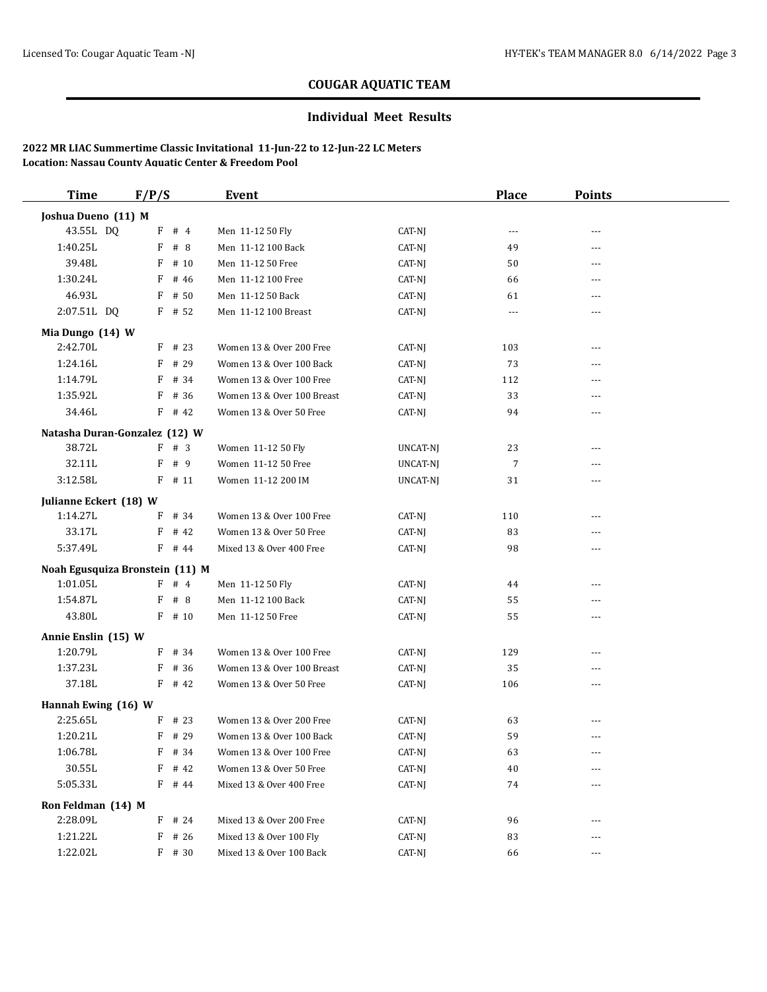### **Individual Meet Results**

| <b>Time</b>                     | F/P/S     | Event                      |          | <b>Place</b>   | <b>Points</b>  |  |
|---------------------------------|-----------|----------------------------|----------|----------------|----------------|--|
| Joshua Dueno (11) M             |           |                            |          |                |                |  |
| 43.55L DQ                       | F # 4     | Men 11-12 50 Fly           | CAT-NJ   | $\cdots$       | ---            |  |
| 1:40.25L                        | F # 8     | Men 11-12 100 Back         | CAT-NJ   | 49             | $---$          |  |
| 39.48L                          | # 10<br>F | Men 11-12 50 Free          | CAT-NJ   | 50             | ---            |  |
| 1:30.24L                        | F<br># 46 | Men 11-12 100 Free         | CAT-NJ   | 66             | $\cdots$       |  |
| 46.93L                          | # 50<br>F | Men 11-12 50 Back          | CAT-NJ   | 61             | ---            |  |
| 2:07.51L DQ                     | $F$ # 52  | Men 11-12 100 Breast       | CAT-NJ   | $\cdots$       | ---            |  |
| Mia Dungo (14) W                |           |                            |          |                |                |  |
| 2:42.70L                        | $F$ # 23  | Women 13 & Over 200 Free   | CAT-NJ   | 103            | $\cdots$       |  |
| 1:24.16L                        | # 29<br>F | Women 13 & Over 100 Back   | CAT-NJ   | 73             | $---$          |  |
| 1:14.79L                        | $F$ # 34  | Women 13 & Over 100 Free   | CAT-NJ   | 112            | ---            |  |
| 1:35.92L                        | $F$ # 36  | Women 13 & Over 100 Breast | CAT-NJ   | 33             | $\frac{1}{2}$  |  |
| 34.46L                          | $F$ # 42  | Women 13 & Over 50 Free    | CAT-NJ   | 94             | ---            |  |
| Natasha Duran-Gonzalez (12) W   |           |                            |          |                |                |  |
| 38.72L                          | F # 3     | Women 11-12 50 Fly         | UNCAT-NJ | 23             | $---$          |  |
| 32.11L                          | F # 9     | Women 11-12 50 Free        | UNCAT-NJ | $\overline{7}$ | $---$          |  |
| 3:12.58L                        | $F$ # 11  | Women 11-12 200 IM         | UNCAT-NJ | 31             | $\overline{a}$ |  |
| Julianne Eckert (18) W          |           |                            |          |                |                |  |
| 1:14.27L                        | $F$ # 34  | Women 13 & Over 100 Free   | CAT-NJ   | 110            | $\frac{1}{2}$  |  |
| 33.17L                          | $F$ # 42  | Women 13 & Over 50 Free    | CAT-NJ   | 83             | ---            |  |
| 5:37.49L                        | F # 44    | Mixed 13 & Over 400 Free   | CAT-NJ   | 98             | $---$          |  |
| Noah Egusquiza Bronstein (11) M |           |                            |          |                |                |  |
| 1:01.05L                        | F # 4     | Men 11-12 50 Fly           | CAT-NJ   | 44             | ---            |  |
| 1:54.87L                        | $F$ # 8   | Men 11-12 100 Back         | CAT-NJ   | 55             | ---            |  |
| 43.80L                          | $F$ # 10  | Men 11-12 50 Free          | CAT-NJ   | 55             | ---            |  |
| Annie Enslin (15) W             |           |                            |          |                |                |  |
| 1:20.79L                        | $F$ # 34  | Women 13 & Over 100 Free   | CAT-NJ   | 129            | ---            |  |
| 1:37.23L                        | $F$ # 36  | Women 13 & Over 100 Breast | CAT-NJ   | 35             | $\overline{a}$ |  |
| 37.18L                          | $F$ # 42  | Women 13 & Over 50 Free    | CAT-NJ   | 106            | ---            |  |
| Hannah Ewing (16) W             |           |                            |          |                |                |  |
| 2:25.65L                        | $F$ # 23  | Women 13 & Over 200 Free   | CAT-NJ   | 63             | ---            |  |
| 1:20.21L                        | $F$ # 29  | Women 13 & Over 100 Back   | CAT-NJ   | 59             | ---            |  |
| 1:06.78L                        | $F$ # 34  | Women 13 & Over 100 Free   | $CAT-NJ$ | 63             |                |  |
| 30.55L                          | $F$ # 42  | Women 13 & Over 50 Free    | CAT-NJ   | 40             |                |  |
| 5:05.33L                        | $F$ # 44  | Mixed 13 & Over 400 Free   | CAT-NJ   | 74             | $\cdots$       |  |
| Ron Feldman (14) M              |           |                            |          |                |                |  |
| 2:28.09L                        | $F$ # 24  | Mixed 13 & Over 200 Free   | CAT-NJ   | 96             | $---$          |  |
| 1:21.22L                        | $F$ # 26  | Mixed 13 & Over 100 Fly    | CAT-NJ   | 83             | ---            |  |
| 1:22.02L                        | $F$ # 30  | Mixed 13 & Over 100 Back   | CAT-NJ   | 66             | ---            |  |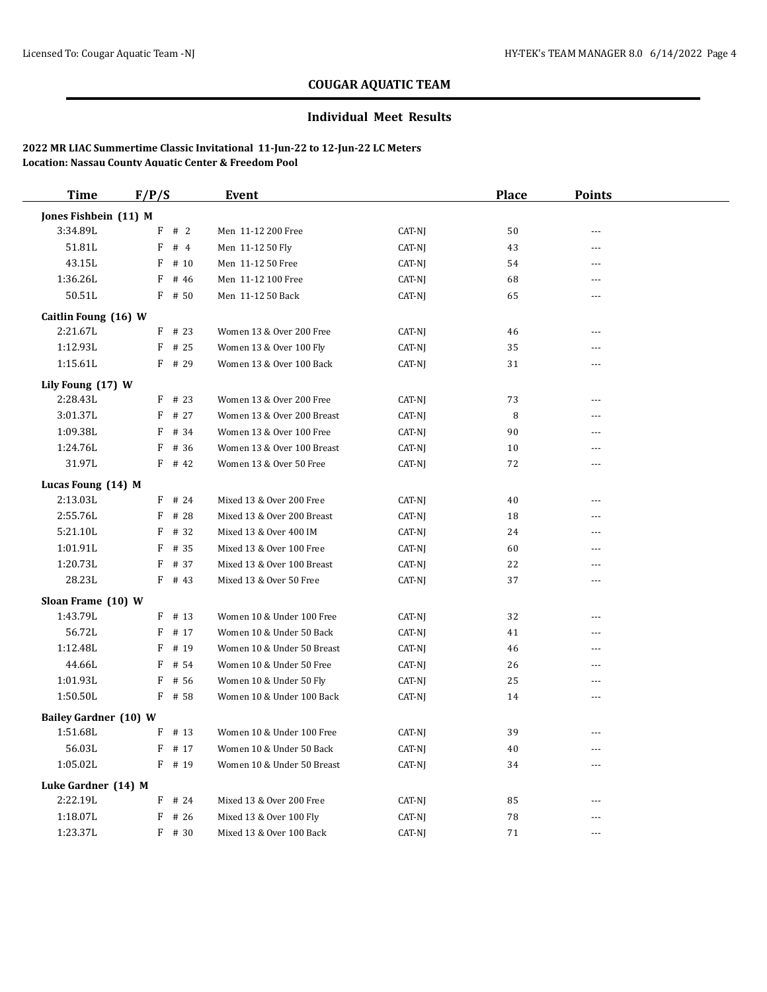### **Individual Meet Results**

| <b>Time</b>                  | F/P/S |          | Event                      |        | <b>Place</b> | <b>Points</b>  |  |
|------------------------------|-------|----------|----------------------------|--------|--------------|----------------|--|
| Jones Fishbein (11) M        |       |          |                            |        |              |                |  |
| 3:34.89L                     | F     | #2       | Men 11-12 200 Free         | CAT-NJ | 50           | $-$            |  |
| 51.81L                       | F     | #4       | Men 11-12 50 Fly           | CAT-NJ | 43           | ---            |  |
| 43.15L                       | F     | # 10     | Men 11-12 50 Free          | CAT-NJ | 54           | $\overline{a}$ |  |
| 1:36.26L                     | F     | # 46     | Men 11-12 100 Free         | CAT-NJ | 68           | ---            |  |
| 50.51L                       |       | $F$ # 50 | Men 11-12 50 Back          | CAT-NJ | 65           | $---$          |  |
| Caitlin Foung (16) W         |       |          |                            |        |              |                |  |
| 2:21.67L                     |       | $F$ # 23 | Women 13 & Over 200 Free   | CAT-NJ | 46           | ---            |  |
| 1:12.93L                     |       | $F$ # 25 | Women 13 & Over 100 Fly    | CAT-NJ | 35           | $\cdots$       |  |
| 1:15.61L                     |       | $F$ # 29 | Women 13 & Over 100 Back   | CAT-NJ | 31           | ---            |  |
| Lily Foung (17) W            |       |          |                            |        |              |                |  |
| 2:28.43L                     |       | $F$ # 23 | Women 13 & Over 200 Free   | CAT-NJ | 73           | $- - -$        |  |
| 3:01.37L                     | F     | # 27     | Women 13 & Over 200 Breast | CAT-NJ | 8            | $---$          |  |
| 1:09.38L                     | F     | # 34     | Women 13 & Over 100 Free   | CAT-NJ | 90           | ---            |  |
| 1:24.76L                     | F     | # 36     | Women 13 & Over 100 Breast | CAT-NJ | 10           | $\sim$         |  |
| 31.97L                       |       | $F$ # 42 | Women 13 & Over 50 Free    | CAT-NJ | 72           | $\overline{a}$ |  |
| Lucas Foung (14) M           |       |          |                            |        |              |                |  |
| 2:13.03L                     |       | $F$ # 24 | Mixed 13 & Over 200 Free   | CAT-NJ | 40           | $\overline{a}$ |  |
| 2:55.76L                     |       | $F$ # 28 | Mixed 13 & Over 200 Breast | CAT-NJ | 18           | $- - -$        |  |
| 5:21.10L                     |       | $F$ # 32 | Mixed 13 & Over 400 IM     | CAT-NJ | 24           | $\overline{a}$ |  |
| 1:01.91L                     |       | $F$ # 35 | Mixed 13 & Over 100 Free   | CAT-NJ | 60           | $\sim$         |  |
| 1:20.73L                     | F     | # 37     | Mixed 13 & Over 100 Breast | CAT-NJ | 22           | ---            |  |
| 28.23L                       |       | $F$ # 43 | Mixed 13 & Over 50 Free    | CAT-NJ | 37           | $\overline{a}$ |  |
| Sloan Frame (10) W           |       |          |                            |        |              |                |  |
| 1:43.79L                     |       | $F$ # 13 | Women 10 & Under 100 Free  | CAT-NJ | 32           | $---$          |  |
| 56.72L                       | F     | # 17     | Women 10 & Under 50 Back   | CAT-NJ | 41           | ---            |  |
| 1:12.48L                     | F     | # 19     | Women 10 & Under 50 Breast | CAT-NJ | 46           | $\overline{a}$ |  |
| 44.66L                       | F     | # 54     | Women 10 & Under 50 Free   | CAT-NJ | 26           | ---            |  |
| 1:01.93L                     | F     | # 56     | Women 10 & Under 50 Fly    | CAT-NJ | 25           | ---            |  |
| 1:50.50L                     |       | $F$ # 58 | Women 10 & Under 100 Back  | CAT-NJ | 14           | $\overline{a}$ |  |
| <b>Bailey Gardner (10) W</b> |       |          |                            |        |              |                |  |
| 1:51.68L                     |       | $F$ # 13 | Women 10 & Under 100 Free  | CAT-NJ | 39           | $\sim$         |  |
| 56.03L                       |       | $F$ # 17 | Women 10 & Under 50 Back   | CAT-NJ | 40           | $\sim$         |  |
| 1:05.02L                     |       | $F$ # 19 | Women 10 & Under 50 Breast | CAT-NJ | 34           | $\overline{a}$ |  |
| Luke Gardner (14) M          |       |          |                            |        |              |                |  |
| 2:22.19L                     |       | $F$ # 24 | Mixed 13 & Over 200 Free   | CAT-NJ | 85           | $- - -$        |  |
| 1:18.07L                     |       | $F$ # 26 | Mixed 13 & Over 100 Fly    | CAT-NJ | 78           |                |  |
| 1:23.37L                     |       | $F$ # 30 | Mixed 13 & Over 100 Back   | CAT-NJ | 71           | $- - -$        |  |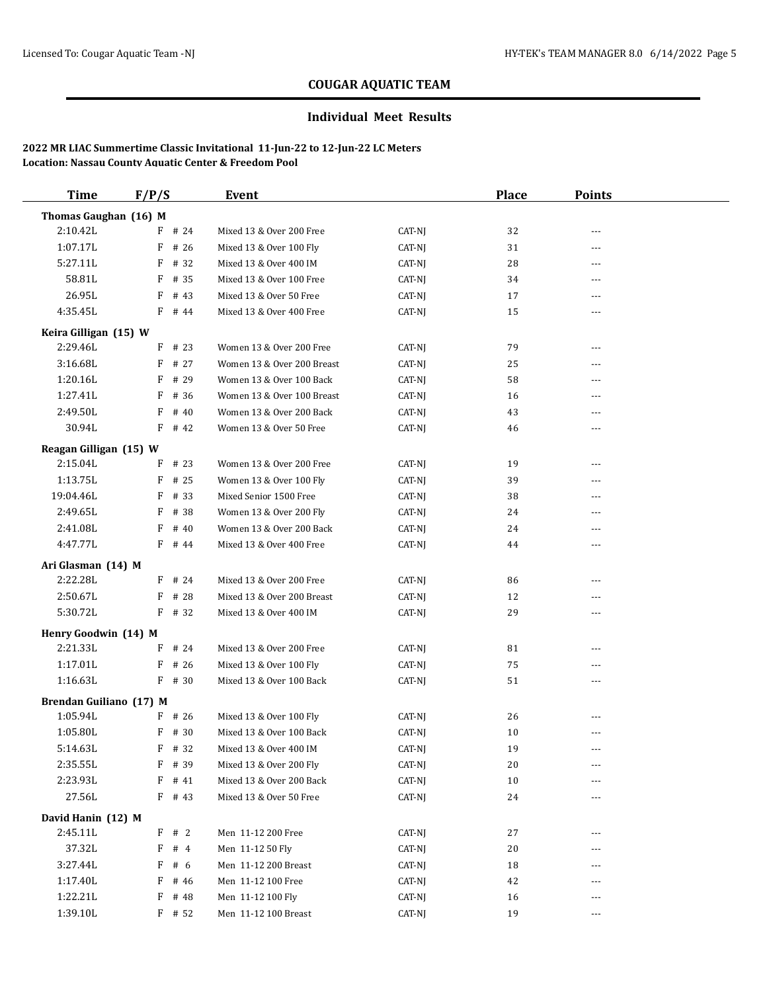### **Individual Meet Results**

| <b>Time</b>             | F/P/S     | <b>Event</b>                     |        | <b>Place</b> | <b>Points</b> |  |
|-------------------------|-----------|----------------------------------|--------|--------------|---------------|--|
| Thomas Gaughan (16) M   |           |                                  |        |              |               |  |
| 2:10.42L                | $F$ # 24  | Mixed 13 & Over 200 Free         | CAT-NJ | 32           | ---           |  |
| 1:07.17L                | $F$ # 26  | Mixed 13 & Over 100 Fly          | CAT-NJ | 31           | ---           |  |
| 5:27.11L                | $F$ # 32  | Mixed 13 & Over 400 IM           | CAT-NJ | 28           | ---           |  |
| 58.81L                  | $F$ # 35  | Mixed 13 & Over 100 Free         | CAT-NJ | 34           | ---           |  |
| 26.95L                  | F         | # 43<br>Mixed 13 & Over 50 Free  | CAT-NJ | 17           | ---           |  |
| 4:35.45L                | $F$ # 44  | Mixed 13 & Over 400 Free         | CAT-NJ | 15           | ---           |  |
| Keira Gilligan (15) W   |           |                                  |        |              |               |  |
| 2:29.46L                | $F$ # 23  | Women 13 & Over 200 Free         | CAT-NJ | 79           | ---           |  |
| 3:16.68L                | $F$ # 27  | Women 13 & Over 200 Breast       | CAT-NJ | 25           | ---           |  |
| 1:20.16L                | F         | # 29<br>Women 13 & Over 100 Back | CAT-NJ | 58           | ---           |  |
| 1:27.41L                | F # 36    | Women 13 & Over 100 Breast       | CAT-NJ | 16           | ---           |  |
| 2:49.50L                | F         | # 40<br>Women 13 & Over 200 Back | CAT-NJ | 43           | ---           |  |
| 30.94L                  | $F$ # 42  | Women 13 & Over 50 Free          | CAT-NJ | 46           |               |  |
|                         |           |                                  |        |              |               |  |
| Reagan Gilligan (15) W  |           |                                  |        |              |               |  |
| 2:15.04L                | # 23<br>F | Women 13 & Over 200 Free         | CAT-NJ | 19           | ---           |  |
| 1:13.75L                | $F$ # 25  | Women 13 & Over 100 Fly          | CAT-NJ | 39           | ---           |  |
| 19:04.46L               | $F$ # 33  | Mixed Senior 1500 Free           | CAT-NJ | 38           | ---           |  |
| 2:49.65L                | F # 38    | Women 13 & Over 200 Fly          | CAT-NJ | 24           | ---           |  |
| 2:41.08L                | F         | # 40<br>Women 13 & Over 200 Back | CAT-NJ | 24           | ---           |  |
| 4:47.77L                | $F$ # 44  | Mixed 13 & Over 400 Free         | CAT-NJ | 44           | ---           |  |
| Ari Glasman (14) M      |           |                                  |        |              |               |  |
| 2:22.28L                | $F$ # 24  | Mixed 13 & Over 200 Free         | CAT-NJ | 86           | ---           |  |
| 2:50.67L                | $F$ # 28  | Mixed 13 & Over 200 Breast       | CAT-NJ | 12           | ---           |  |
| 5:30.72L                | $F$ # 32  | Mixed 13 & Over 400 IM           | CAT-NJ | 29           | ---           |  |
| Henry Goodwin (14) M    |           |                                  |        |              |               |  |
| 2:21.33L                | $F$ # 24  | Mixed 13 & Over 200 Free         | CAT-NJ | 81           | ---           |  |
| 1:17.01L                | $F$ # 26  | Mixed 13 & Over 100 Fly          | CAT-NJ | 75           | ---           |  |
| 1:16.63L                | $F$ # 30  | Mixed 13 & Over 100 Back         | CAT-NJ | 51           | ---           |  |
| Brendan Guiliano (17) M |           |                                  |        |              |               |  |
| 1:05.94L                | $F$ # 26  | Mixed 13 & Over 100 Fly          | CAT-NJ | 26           | ---           |  |
| 1:05.80L                | $F$ # 30  | Mixed 13 & Over 100 Back         | CAT-NJ | 10           | ---           |  |
| 5:14.63L                | F # 32    | Mixed 13 & Over 400 IM           | CAT-NJ | 19           | ---           |  |
| 2:35.55L                | F # 39    | Mixed 13 & Over 200 Fly          | CAT-NJ | 20           | ---           |  |
| 2:23.93L                | F # 41    | Mixed 13 & Over 200 Back         | CAT-NJ | 10           |               |  |
| 27.56L                  | $F$ # 43  | Mixed 13 & Over 50 Free          | CAT-NJ | 24           |               |  |
|                         |           |                                  |        |              |               |  |
| David Hanin (12) M      |           |                                  |        |              |               |  |
| 2:45.11L                | F # 2     | Men 11-12 200 Free               | CAT-NJ | 27           | ---           |  |
| 37.32L                  | $F$ # 4   | Men 11-12 50 Fly                 | CAT-NJ | 20           |               |  |
| 3:27.44L                | F # 6     | Men 11-12 200 Breast             | CAT-NJ | 18           |               |  |
| 1:17.40L                | $F$ # 46  | Men 11-12 100 Free               | CAT-NJ | 42           |               |  |
| 1:22.21L                | $F$ # 48  | Men 11-12 100 Fly                | CAT-NJ | 16           | ---           |  |
| 1:39.10L                | $F$ # 52  | Men 11-12 100 Breast             | CAT-NJ | 19           | ---           |  |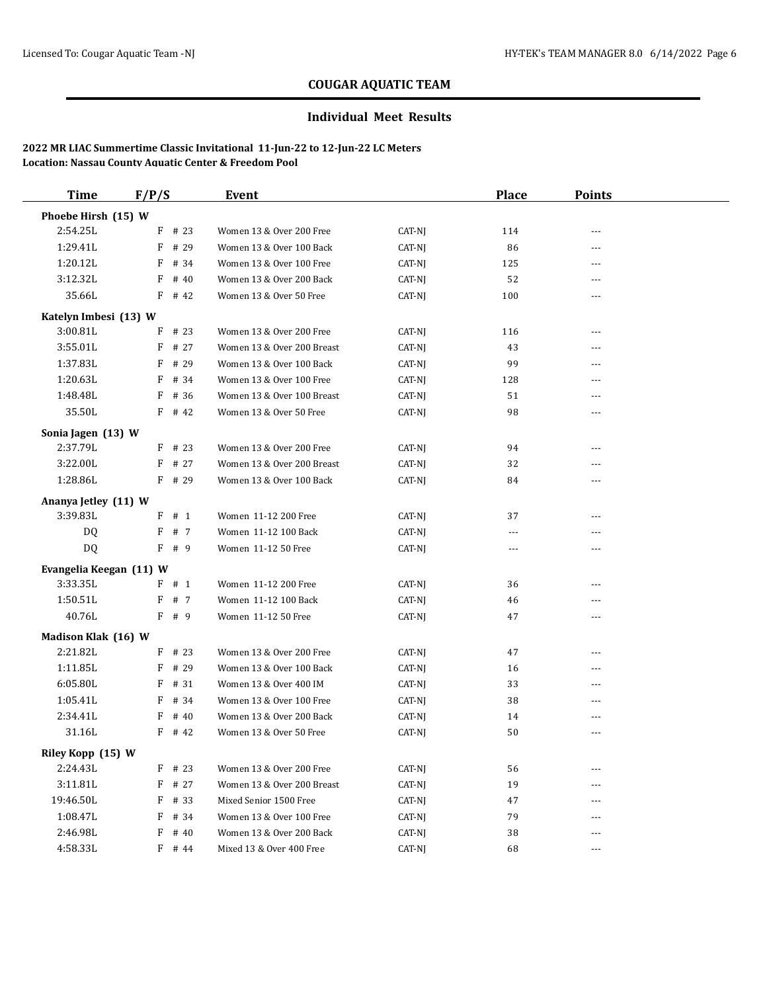### **Individual Meet Results**

| <b>Time</b>             | F/P/S     | Event                      |        | <b>Place</b>   | <b>Points</b>  |  |
|-------------------------|-----------|----------------------------|--------|----------------|----------------|--|
| Phoebe Hirsh (15) W     |           |                            |        |                |                |  |
| 2:54.25L                | $F$ # 23  | Women 13 & Over 200 Free   | CAT-NJ | 114            | $- - -$        |  |
| 1:29.41L                | F<br># 29 | Women 13 & Over 100 Back   | CAT-NJ | 86             | ---            |  |
| 1:20.12L                | F<br># 34 | Women 13 & Over 100 Free   | CAT-NJ | 125            | $---$          |  |
| 3:12.32L                | F<br># 40 | Women 13 & Over 200 Back   | CAT-NJ | 52             | $---$          |  |
| 35.66L                  | $F$ # 42  | Women 13 & Over 50 Free    | CAT-NJ | 100            | $\cdots$       |  |
| Katelyn Imbesi (13) W   |           |                            |        |                |                |  |
| 3:00.81L                | F<br># 23 | Women 13 & Over 200 Free   | CAT-NJ | 116            | $\cdots$       |  |
| 3:55.01L                | F<br># 27 | Women 13 & Over 200 Breast | CAT-NJ | 43             | $\cdots$       |  |
| 1:37.83L                | F<br># 29 | Women 13 & Over 100 Back   | CAT-NJ | 99             | ---            |  |
| 1:20.63L                | F<br># 34 | Women 13 & Over 100 Free   | CAT-NJ | 128            | $---$          |  |
| 1:48.48L                | # 36<br>F | Women 13 & Over 100 Breast | CAT-NJ | 51             | ---            |  |
| 35.50L                  | $F$ # 42  | Women 13 & Over 50 Free    | CAT-NJ | 98             | ---            |  |
| Sonia Jagen (13) W      |           |                            |        |                |                |  |
| 2:37.79L                | $F$ # 23  | Women 13 & Over 200 Free   | CAT-NJ | 94             | $\cdots$       |  |
| 3:22.00L                | F<br># 27 | Women 13 & Over 200 Breast | CAT-NJ | 32             | $\overline{a}$ |  |
| 1:28.86L                | $F$ # 29  | Women 13 & Over 100 Back   | CAT-NJ | 84             | $---$          |  |
| Ananya Jetley (11) W    |           |                            |        |                |                |  |
| 3:39.83L                | F # 1     | Women 11-12 200 Free       | CAT-NJ | 37             | ---            |  |
| DQ                      | F<br># 7  | Women 11-12 100 Back       | CAT-NJ | $\overline{a}$ | $\overline{a}$ |  |
| <b>DQ</b>               | F # 9     | Women 11-12 50 Free        | CAT-NJ | $\cdots$       | $\cdots$       |  |
| Evangelia Keegan (11) W |           |                            |        |                |                |  |
| 3:33.35L                | $F$ # 1   | Women 11-12 200 Free       | CAT-NJ | 36             | ---            |  |
| 1:50.51L                | F<br># 7  | Women 11-12 100 Back       | CAT-NJ | 46             | ---            |  |
| 40.76L                  | F # 9     | Women 11-12 50 Free        | CAT-NJ | 47             | $\overline{a}$ |  |
| Madison Klak (16) W     |           |                            |        |                |                |  |
| 2:21.82L                | $F$ # 23  | Women 13 & Over 200 Free   | CAT-NJ | 47             | $---$          |  |
| 1:11.85L                | F<br># 29 | Women 13 & Over 100 Back   | CAT-NJ | 16             | ---            |  |
| 6:05.80L                | F<br># 31 | Women 13 & Over 400 IM     | CAT-NJ | 33             | $---$          |  |
| 1:05.41L                | F<br># 34 | Women 13 & Over 100 Free   | CAT-NJ | 38             | $\cdots$       |  |
| 2:34.41L                | F<br># 40 | Women 13 & Over 200 Back   | CAT-NJ | 14             | ---            |  |
| 31.16L                  | $F$ # 42  | Women 13 & Over 50 Free    | CAT-NJ | 50             | ---            |  |
| Riley Kopp (15) W       |           |                            |        |                |                |  |
| 2:24.43L                | $F$ # 23  | Women 13 & Over 200 Free   | CAT-NJ | 56             | $---$          |  |
| 3:11.81L                | $F$ # 27  | Women 13 & Over 200 Breast | CAT-NJ | 19             | ---            |  |
| 19:46.50L               | F<br># 33 | Mixed Senior 1500 Free     | CAT-NJ | 47             | $---$          |  |
| 1:08.47L                | F<br># 34 | Women 13 & Over 100 Free   | CAT-NJ | 79             | ---            |  |
| 2:46.98L                | F<br># 40 | Women 13 & Over 200 Back   | CAT-NJ | 38             | ---            |  |
| 4:58.33L                | $F$ # 44  | Mixed 13 & Over 400 Free   | CAT-NJ | 68             | ---            |  |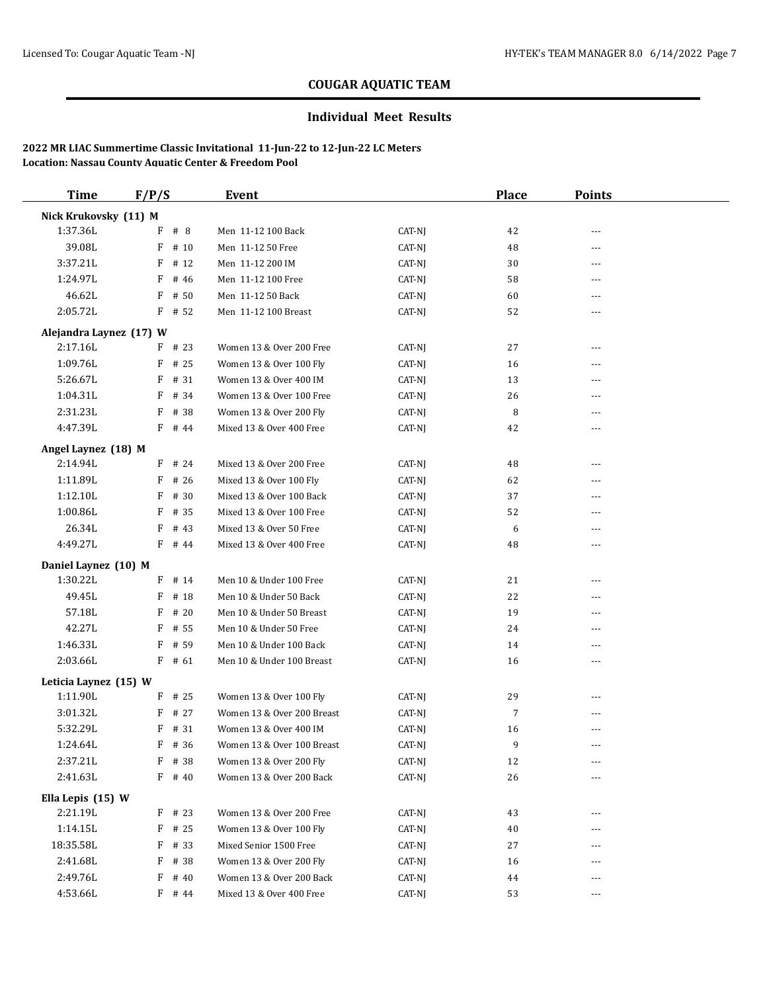### **Individual Meet Results**

| <b>Time</b>             | F/P/S                | Event                      |        | <b>Place</b> | <b>Points</b>  |  |
|-------------------------|----------------------|----------------------------|--------|--------------|----------------|--|
| Nick Krukovsky (11) M   |                      |                            |        |              |                |  |
| 1:37.36L                | #8<br>F              | Men 11-12 100 Back         | CAT-NJ | 42           | $- - -$        |  |
| 39.08L                  | F<br># 10            | Men 11-12 50 Free          | CAT-NJ | 48           | ---            |  |
| 3:37.21L                | F<br># 12            | Men 11-12 200 IM           | CAT-NJ | 30           | $- - -$        |  |
| 1:24.97L                | F<br># 46            | Men 11-12 100 Free         | CAT-NJ | 58           | $\cdots$       |  |
| 46.62L                  | F<br># 50            | Men 11-12 50 Back          | CAT-NJ | 60           | $- - -$        |  |
| 2:05.72L                | $F$ # 52             | Men 11-12 100 Breast       | CAT-NJ | 52           | $\overline{a}$ |  |
| Alejandra Laynez (17) W |                      |                            |        |              |                |  |
| 2:17.16L                | $F$ # 23             | Women 13 & Over 200 Free   | CAT-NJ | 27           | ---            |  |
| 1:09.76L                | F<br># 25            | Women 13 & Over 100 Fly    | CAT-NJ | 16           | ---            |  |
| 5:26.67L                | # 31<br>F            | Women 13 & Over 400 IM     | CAT-NJ | 13           | $---$          |  |
| 1:04.31L                | # 34<br>F            | Women 13 & Over 100 Free   | CAT-NJ | 26           | ---            |  |
| 2:31.23L                | F<br># 38            | Women 13 & Over 200 Fly    | CAT-NJ | 8            | $- - -$        |  |
| 4:47.39L                | $F$ # 44             | Mixed 13 & Over 400 Free   | CAT-NJ | 42           | $\sim$ $\sim$  |  |
| Angel Laynez (18) M     |                      |                            |        |              |                |  |
| 2:14.94L                | $F$ # 24             | Mixed 13 & Over 200 Free   | CAT-NJ | 48           | $\cdots$       |  |
| 1:11.89L                | # 26<br>F            | Mixed 13 & Over 100 Fly    | CAT-NJ | 62           | ---            |  |
| 1:12.10L                | # 30<br>F            | Mixed 13 & Over 100 Back   | CAT-NJ | 37           | $- - -$        |  |
| 1:00.86L                | # 35<br>F            | Mixed 13 & Over 100 Free   | CAT-NJ | 52           | ---            |  |
| 26.34L                  | F<br># 43            | Mixed 13 & Over 50 Free    | CAT-NJ | 6            | $- - -$        |  |
| 4:49.27L                | F # 44               | Mixed 13 & Over 400 Free   | CAT-NJ | 48           | $\overline{a}$ |  |
| Daniel Laynez (10) M    |                      |                            |        |              |                |  |
| 1:30.22L                | $F$ # 14             | Men 10 & Under 100 Free    | CAT-NJ | 21           | $\cdots$       |  |
| 49.45L                  | F<br># 18            | Men 10 & Under 50 Back     | CAT-NJ | 22           | ---            |  |
| 57.18L                  | F<br># 20            | Men 10 & Under 50 Breast   | CAT-NJ | 19           | ---            |  |
| 42.27L                  | # 55<br>F            | Men 10 & Under 50 Free     | CAT-NJ | 24           | ---            |  |
| 1:46.33L                | F<br># 59            | Men 10 & Under 100 Back    | CAT-NJ | 14           | $- - -$        |  |
| 2:03.66L                | $F$ # 61             | Men 10 & Under 100 Breast  | CAT-NJ | 16           | ---            |  |
| Leticia Laynez (15) W   |                      |                            |        |              |                |  |
| 1:11.90L                | $\mathbf{F}$<br># 25 | Women 13 & Over 100 Fly    | CAT-NJ | 29           | $- - -$        |  |
| 3:01.32L                | # 27<br>F            | Women 13 & Over 200 Breast | CAT-NJ | 7            | ---            |  |
| 5:32.29L                | # 31<br>F            | Women 13 & Over 400 IM     | CAT-NJ | 16           | $---$          |  |
| 1:24.64L                | F<br># 36            | Women 13 & Over 100 Breast | CAT-NJ | 9            | $---$          |  |
| 2:37.21L                | F # 38               | Women 13 & Over 200 Fly    | CAT-NJ | 12           | $\cdots$       |  |
| 2:41.63L                | $F$ # 40             | Women 13 & Over 200 Back   | CAT-NJ | 26           | ---            |  |
| Ella Lepis (15) W       |                      |                            |        |              |                |  |
| 2:21.19L                | $F$ # 23             | Women 13 & Over 200 Free   | CAT-NJ | 43           | $---$          |  |
| 1:14.15L                | F<br># 25            | Women 13 & Over 100 Fly    | CAT-NJ | 40           | ---            |  |
| 18:35.58L               | F<br># 33            | Mixed Senior 1500 Free     | CAT-NJ | $27\,$       | $---$          |  |
| 2:41.68L                | # 38<br>F            | Women 13 & Over 200 Fly    | CAT-NJ | 16           | ---            |  |
| 2:49.76L                | F<br># 40            | Women 13 & Over 200 Back   | CAT-NJ | 44           | $- - -$        |  |
| 4:53.66L                | $F$ # 44             | Mixed 13 & Over 400 Free   | CAT-NJ | 53           | $---$          |  |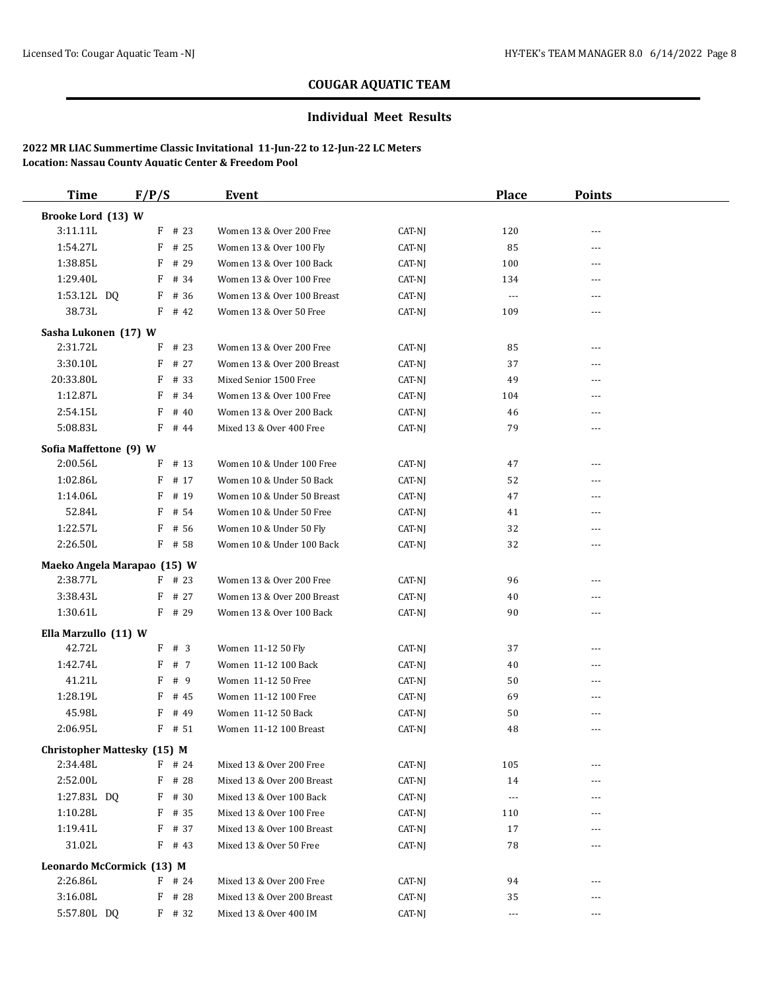#### **Individual Meet Results**

| <b>Time</b>                             | F/P/S     | Event                      |        | <b>Place</b> | <b>Points</b>  |  |
|-----------------------------------------|-----------|----------------------------|--------|--------------|----------------|--|
| Brooke Lord (13) W                      |           |                            |        |              |                |  |
| 3:11.11L                                | $F$ # 23  | Women 13 & Over 200 Free   | CAT-NJ | 120          | $\sim$ $\sim$  |  |
| 1:54.27L                                | F<br># 25 | Women 13 & Over 100 Fly    | CAT-NJ | 85           | $---$          |  |
| 1:38.85L                                | # 29<br>F | Women 13 & Over 100 Back   | CAT-NJ | 100          | ---            |  |
| 1:29.40L                                | $F$ # 34  | Women 13 & Over 100 Free   | CAT-NJ | 134          | $\cdots$       |  |
| 1:53.12L DQ                             | F<br># 36 | Women 13 & Over 100 Breast | CAT-NJ | $\cdots$     | $\overline{a}$ |  |
| 38.73L                                  | $F$ # 42  | Women 13 & Over 50 Free    | CAT-NJ | 109          | $\cdots$       |  |
| Sasha Lukonen (17) W                    |           |                            |        |              |                |  |
| 2:31.72L                                | $F$ # 23  | Women 13 & Over 200 Free   | CAT-NJ | 85           | $---$          |  |
| 3:30.10L                                | $F$ # 27  | Women 13 & Over 200 Breast | CAT-NJ | 37           | $---$          |  |
| 20:33.80L                               | # 33<br>F | Mixed Senior 1500 Free     | CAT-NJ | 49           | ---            |  |
| 1:12.87L                                | F<br># 34 | Women 13 & Over 100 Free   | CAT-NJ | 104          | $---$          |  |
| 2:54.15L                                | # 40<br>F | Women 13 & Over 200 Back   | CAT-NJ | 46           | $\sim$ $\sim$  |  |
| 5:08.83L                                | F # 44    | Mixed 13 & Over 400 Free   | CAT-NJ | 79           | $\frac{1}{2}$  |  |
| Sofia Maffettone (9) W                  |           |                            |        |              |                |  |
| 2:00.56L                                | F<br># 13 | Women 10 & Under 100 Free  | CAT-NJ | 47           | ---            |  |
| 1:02.86L                                | F<br># 17 | Women 10 & Under 50 Back   | CAT-NJ | 52           | ---            |  |
| 1:14.06L                                | # 19<br>F | Women 10 & Under 50 Breast | CAT-NJ | 47           | ---            |  |
| 52.84L                                  | $F$ # 54  | Women 10 & Under 50 Free   | CAT-NJ | 41           | $\frac{1}{2}$  |  |
| 1:22.57L                                | F<br># 56 | Women 10 & Under 50 Fly    | CAT-NJ | 32           | ---            |  |
| 2:26.50L                                | $F$ # 58  | Women 10 & Under 100 Back  | CAT-NJ | 32           | $\cdots$       |  |
|                                         |           |                            |        |              |                |  |
| Maeko Angela Marapao (15) W<br>2:38.77L | $F$ # 23  | Women 13 & Over 200 Free   | CAT-NJ | 96           | ---            |  |
| 3:38.43L                                | $F$ # 27  | Women 13 & Over 200 Breast | CAT-NJ | 40           | $\cdots$       |  |
| 1:30.61L                                | $F$ # 29  | Women 13 & Over 100 Back   | CAT-NJ | 90           | $\cdots$       |  |
|                                         |           |                            |        |              |                |  |
| Ella Marzullo (11) W                    |           |                            |        |              |                |  |
| 42.72L                                  | F # 3     | Women 11-12 50 Fly         | CAT-NJ | 37           | ---            |  |
| 1:42.74L                                | F # 7     | Women 11-12 100 Back       | CAT-NJ | 40           | $---$          |  |
| 41.21L                                  | F # 9     | Women 11-12 50 Free        | CAT-NJ | 50           | ---            |  |
| 1:28.19L                                | F<br># 45 | Women 11-12 100 Free       | CAT-NJ | 69           | $\cdots$       |  |
| 45.98L                                  | # 49<br>F | Women 11-12 50 Back        | CAT-NJ | 50           | ---            |  |
| 2:06.95L                                | $F$ # 51  | Women 11-12 100 Breast     | CAT-NJ | 48           | ---            |  |
| <b>Christopher Mattesky (15) M</b>      |           |                            |        |              |                |  |
| 2:34.48L                                | $F$ # 24  | Mixed 13 & Over 200 Free   | CAT-NJ | 105          |                |  |
| 2:52.00L                                | # 28<br>F | Mixed 13 & Over 200 Breast | CAT-NJ | 14           | $---$          |  |
| 1:27.83L DQ                             | $F$ # 30  | Mixed 13 & Over 100 Back   | CAT-NJ | $\cdots$     | $---$          |  |
| 1:10.28L                                | $F$ # 35  | Mixed 13 & Over 100 Free   | CAT-NJ | 110          | $---$          |  |
| 1:19.41L                                | F<br># 37 | Mixed 13 & Over 100 Breast | CAT-NJ | 17           | $---$          |  |
| 31.02L                                  | $F$ # 43  | Mixed 13 & Over 50 Free    | CAT-NJ | 78           | ---            |  |
| Leonardo McCormick (13) M               |           |                            |        |              |                |  |
| 2:26.86L                                | $F$ # 24  | Mixed 13 & Over 200 Free   | CAT-NJ | 94           |                |  |
| 3:16.08L                                | F<br># 28 | Mixed 13 & Over 200 Breast | CAT-NJ | 35           | $\cdots$       |  |
| 5:57.80L DQ                             | F # 32    | Mixed 13 & Over 400 IM     | CAT-NJ | $\cdots$     | $\cdots$       |  |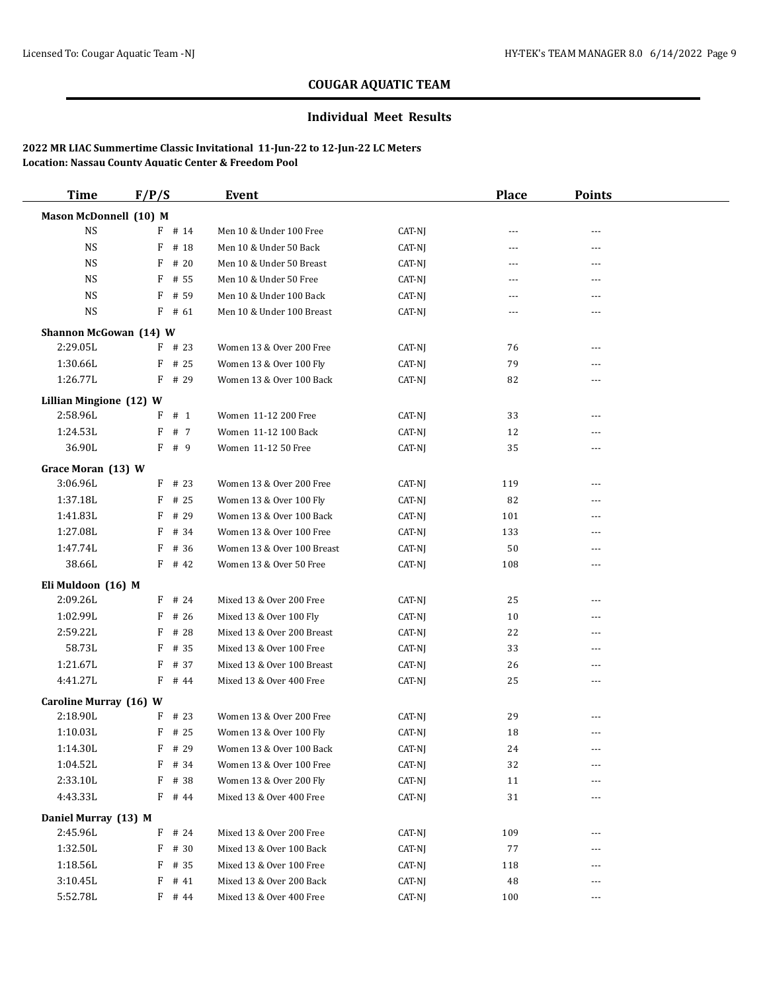### **Individual Meet Results**

| <b>Time</b>             | F/P/S     | Event                      |        | <b>Place</b>         | <b>Points</b>  |  |
|-------------------------|-----------|----------------------------|--------|----------------------|----------------|--|
| Mason McDonnell (10) M  |           |                            |        |                      |                |  |
| <b>NS</b>               | $F$ # 14  | Men 10 & Under 100 Free    | CAT-NJ | $\cdots$             | ---            |  |
| <b>NS</b>               | # 18<br>F | Men 10 & Under 50 Back     | CAT-NJ | $---$                | $---$          |  |
| NS                      | $F$ # 20  | Men 10 & Under 50 Breast   | CAT-NJ | $\cdots$             | ---            |  |
| NS                      | $F$ # 55  | Men 10 & Under 50 Free     | CAT-NJ | $\cdots$             | $---$          |  |
| NS                      | F<br># 59 | Men 10 & Under 100 Back    | CAT-NJ | $---$                | ---            |  |
| <b>NS</b>               | $F$ # 61  | Men 10 & Under 100 Breast  | CAT-NJ | $\cdots$             | ---            |  |
| Shannon McGowan (14) W  |           |                            |        |                      |                |  |
| 2:29.05L                | $F$ # 23  | Women 13 & Over 200 Free   | CAT-NJ | 76                   | ---            |  |
| 1:30.66L                | $F$ # 25  | Women 13 & Over 100 Fly    | CAT-NJ | 79                   | ---            |  |
| 1:26.77L                | $F$ # 29  | Women 13 & Over 100 Back   | CAT-NJ | 82                   | ---            |  |
| Lillian Mingione (12) W |           |                            |        |                      |                |  |
| 2:58.96L                | $F$ # 1   | Women 11-12 200 Free       | CAT-NJ | 33                   | ---            |  |
| 1:24.53L                | F<br># 7  | Women 11-12 100 Back       | CAT-NJ | 12                   | ---            |  |
| 36.90L                  | F<br># 9  | Women 11-12 50 Free        | CAT-NJ | 35                   | ---            |  |
| Grace Moran (13) W      |           |                            |        |                      |                |  |
| 3:06.96L                | $F$ # 23  | Women 13 & Over 200 Free   | CAT-NJ | 119                  | ---            |  |
| 1:37.18L                | # 25<br>F | Women 13 & Over 100 Fly    | CAT-NJ | 82                   | ---            |  |
| 1:41.83L                | F<br># 29 | Women 13 & Over 100 Back   | CAT-NJ | 101                  | $\overline{a}$ |  |
| 1:27.08L                | # 34<br>F | Women 13 & Over 100 Free   | CAT-NJ | 133                  | ---            |  |
| 1:47.74L                | # 36<br>F | Women 13 & Over 100 Breast | CAT-NJ | 50                   | $---$          |  |
| 38.66L                  | $F$ # 42  | Women 13 & Over 50 Free    | CAT-NJ | 108                  | ---            |  |
| Eli Muldoon (16) M      |           |                            |        |                      |                |  |
| 2:09.26L                | $F$ # 24  | Mixed 13 & Over 200 Free   | CAT-NJ | 25                   | $---$          |  |
| 1:02.99L                | # 26<br>F | Mixed 13 & Over 100 Fly    | CAT-NJ | 10                   | ---            |  |
| 2:59.22L                | F<br># 28 | Mixed 13 & Over 200 Breast | CAT-NJ | 22                   | ---            |  |
| 58.73L                  | F<br># 35 | Mixed 13 & Over 100 Free   | CAT-NJ | 33                   | ---            |  |
| 1:21.67L                | F<br># 37 | Mixed 13 & Over 100 Breast | CAT-NJ | 26                   | $\overline{a}$ |  |
| 4:41.27L                | $F$ # 44  | Mixed 13 & Over 400 Free   | CAT-NJ | 25                   | ---            |  |
| Caroline Murray (16) W  |           |                            |        |                      |                |  |
| 2:18.90L                | $F$ # 23  | Women 13 & Over 200 Free   | CAT-NJ | 29                   | ---            |  |
| 1:10.03L                | $F$ # 25  | Women 13 & Over 100 Fly    | CAT-NJ | 18                   | ---            |  |
| 1:14.30L                | $F$ # 29  | Women 13 & Over 100 Back   | CAT-NJ | $\ensuremath{^{24}}$ |                |  |
| 1:04.52L                | F<br># 34 | Women 13 & Over 100 Free   | CAT-NJ | 32                   | ---            |  |
| 2:33.10L                | F # 38    | Women 13 & Over 200 Fly    | CAT-NJ | 11                   | ---            |  |
| 4:43.33L                | F # 44    | Mixed 13 & Over 400 Free   | CAT-NJ | 31                   | ---            |  |
| Daniel Murray (13) M    |           |                            |        |                      |                |  |
| 2:45.96L                | $F$ # 24  | Mixed 13 & Over 200 Free   | CAT-NJ | 109                  |                |  |
| 1:32.50L                | F # 30    | Mixed 13 & Over 100 Back   | CAT-NJ | 77                   |                |  |
| 1:18.56L                | $F$ # 35  | Mixed 13 & Over 100 Free   | CAT-NJ | 118                  | ---            |  |
| 3:10.45L                | $F$ # 41  | Mixed 13 & Over 200 Back   | CAT-NJ | 48                   |                |  |
| 5:52.78L                | $F$ # 44  | Mixed 13 & Over 400 Free   | CAT-NJ | 100                  | $\cdots$       |  |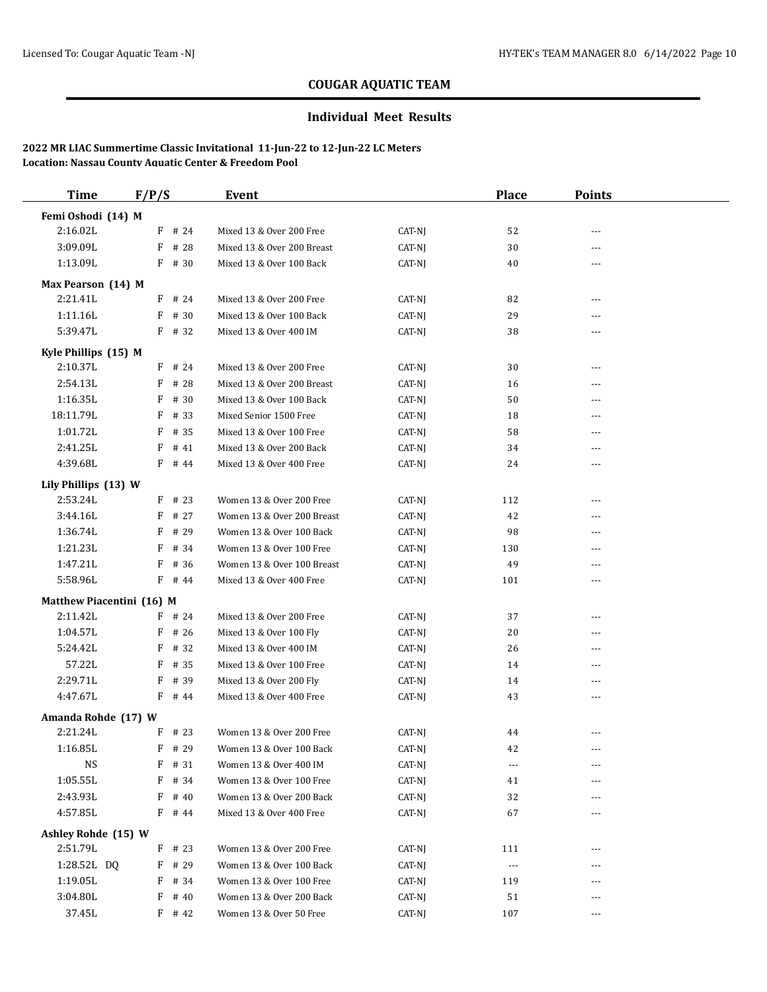### **Individual Meet Results**

| Femi Oshodi (14) M<br>2:16.02L<br>$F$ # 24<br>Mixed 13 & Over 200 Free<br>CAT-NJ<br>52<br>---<br>F # 28<br>3:09.09L<br>Mixed 13 & Over 200 Breast<br>CAT-NJ<br>30<br>---<br>1:13.09L<br>$F$ # 30<br>Mixed 13 & Over 100 Back<br>CAT-NJ<br>40<br>---<br>Max Pearson (14) M<br>2:21.41L<br>$F$ # 24<br>Mixed 13 & Over 200 Free<br>CAT-NJ<br>82<br>$\overline{a}$<br>1:11.16L<br>$F$ # 30<br>Mixed 13 & Over 100 Back<br>CAT-NJ<br>29<br>5:39.47L<br>$F$ # 32<br>38<br>Mixed 13 & Over 400 IM<br>CAT-NJ<br>---<br>Kyle Phillips (15) M<br>2:10.37L<br>$F$ # 24<br>Mixed 13 & Over 200 Free<br>CAT-NJ<br>30<br>---<br>2:54.13L<br>$F$ # 28<br>Mixed 13 & Over 200 Breast<br>CAT-NJ<br>16<br>---<br>1:16.35L<br>F # 30<br>Mixed 13 & Over 100 Back<br>CAT-NJ<br>50<br>---<br>18:11.79L<br>F<br># 33<br>Mixed Senior 1500 Free<br>CAT-NJ<br>18<br>---<br>1:01.72L<br># 35<br>Mixed 13 & Over 100 Free<br>58<br>F<br>CAT-NJ<br>---<br>2:41.25L<br>F<br># 41<br>Mixed 13 & Over 200 Back<br>CAT-NJ<br>34<br>---<br>4:39.68L<br>$F$ # 44<br>Mixed 13 & Over 400 Free<br>CAT-NJ<br>24<br>---<br>Lily Phillips (13) W<br>2:53.24L<br>$F$ # 23<br>Women 13 & Over 200 Free<br>CAT-NJ<br>112<br>---<br>3:44.16L<br>$F$ # 27<br>Women 13 & Over 200 Breast<br>CAT-NJ<br>42<br>---<br>1:36.74L<br># 29<br>Women 13 & Over 100 Back<br>98<br>F<br>CAT-NJ<br>---<br>1:21.23L<br>$F$ # 34<br>Women 13 & Over 100 Free<br>CAT-NJ<br>130<br>---<br>1:47.21L<br>$F$ # 36<br>Women 13 & Over 100 Breast<br>49<br>CAT-NJ<br>---<br>5:58.96L<br>Mixed 13 & Over 400 Free<br>$F$ # 44<br>CAT-NJ<br>101<br>---<br>Matthew Piacentini (16) M<br>2:11.42L<br>$F$ # 24<br>Mixed 13 & Over 200 Free<br>CAT-NJ<br>37<br>---<br>1:04.57L<br>$F$ # 26<br>Mixed 13 & Over 100 Fly<br>CAT-NJ<br>20<br>---<br>5:24.42L<br>F<br># 32<br>Mixed 13 & Over 400 IM<br>CAT-NJ<br>26<br>---<br>57.22L<br># 35<br>F<br>Mixed 13 & Over 100 Free<br>CAT-NJ<br>14<br>---<br>2:29.71L<br># 39<br>Mixed 13 & Over 200 Fly<br>F<br>CAT-NJ<br>14<br>---<br>4:47.67L<br>$F$ # 44<br>Mixed 13 & Over 400 Free<br>43<br>CAT-NJ<br>---<br>Amanda Rohde (17) W<br>2:21.24L<br>$F$ # 23<br>Women 13 & Over 200 Free<br>CAT-NJ<br>44<br>---<br>1:16.85L<br>$F$ # 29<br>$CAT-NJ$<br>Women 13 & Over 100 Back<br>42<br>$---$<br><b>NS</b><br>$F$ # 31<br>Women 13 & Over 400 IM<br>CAT-NJ<br>$\cdots$<br>---<br>1:05.55L<br>F # 34<br>Women 13 & Over 100 Free<br>CAT-NJ<br>41<br>2:43.93L<br>$F$ # 40<br>Women 13 & Over 200 Back<br>32<br>CAT-NJ<br>4:57.85L<br>$F$ # 44<br>67<br>Mixed 13 & Over 400 Free<br>CAT-NJ<br>Ashley Rohde (15) W<br>2:51.79L<br>$F$ # 23<br>Women 13 & Over 200 Free<br>CAT-NJ<br>111<br>1:28.52L DQ<br>Women 13 & Over 100 Back<br>$F$ # 29<br>CAT-NJ<br>$\sim$ $\sim$ $\sim$<br>1:19.05L<br>$F$ # 34<br>Women 13 & Over 100 Free<br>CAT-NJ<br>119<br>3:04.80L<br>$F$ # 40<br>Women 13 & Over 200 Back<br>CAT-NJ<br>51<br>$F$ # 42<br>Women 13 & Over 50 Free<br>CAT-NJ<br>107<br>--- | <b>Time</b> | F/P/S | Event | <b>Place</b> | <b>Points</b> |  |
|-----------------------------------------------------------------------------------------------------------------------------------------------------------------------------------------------------------------------------------------------------------------------------------------------------------------------------------------------------------------------------------------------------------------------------------------------------------------------------------------------------------------------------------------------------------------------------------------------------------------------------------------------------------------------------------------------------------------------------------------------------------------------------------------------------------------------------------------------------------------------------------------------------------------------------------------------------------------------------------------------------------------------------------------------------------------------------------------------------------------------------------------------------------------------------------------------------------------------------------------------------------------------------------------------------------------------------------------------------------------------------------------------------------------------------------------------------------------------------------------------------------------------------------------------------------------------------------------------------------------------------------------------------------------------------------------------------------------------------------------------------------------------------------------------------------------------------------------------------------------------------------------------------------------------------------------------------------------------------------------------------------------------------------------------------------------------------------------------------------------------------------------------------------------------------------------------------------------------------------------------------------------------------------------------------------------------------------------------------------------------------------------------------------------------------------------------------------------------------------------------------------------------------------------------------------------------------------------------------------------------------------------------------------------------------------------------------------------------------------------------------------------------------------------------------------------------------------------------------------------------------------------------------------------------------------------------------------|-------------|-------|-------|--------------|---------------|--|
|                                                                                                                                                                                                                                                                                                                                                                                                                                                                                                                                                                                                                                                                                                                                                                                                                                                                                                                                                                                                                                                                                                                                                                                                                                                                                                                                                                                                                                                                                                                                                                                                                                                                                                                                                                                                                                                                                                                                                                                                                                                                                                                                                                                                                                                                                                                                                                                                                                                                                                                                                                                                                                                                                                                                                                                                                                                                                                                                                           |             |       |       |              |               |  |
|                                                                                                                                                                                                                                                                                                                                                                                                                                                                                                                                                                                                                                                                                                                                                                                                                                                                                                                                                                                                                                                                                                                                                                                                                                                                                                                                                                                                                                                                                                                                                                                                                                                                                                                                                                                                                                                                                                                                                                                                                                                                                                                                                                                                                                                                                                                                                                                                                                                                                                                                                                                                                                                                                                                                                                                                                                                                                                                                                           |             |       |       |              |               |  |
|                                                                                                                                                                                                                                                                                                                                                                                                                                                                                                                                                                                                                                                                                                                                                                                                                                                                                                                                                                                                                                                                                                                                                                                                                                                                                                                                                                                                                                                                                                                                                                                                                                                                                                                                                                                                                                                                                                                                                                                                                                                                                                                                                                                                                                                                                                                                                                                                                                                                                                                                                                                                                                                                                                                                                                                                                                                                                                                                                           |             |       |       |              |               |  |
|                                                                                                                                                                                                                                                                                                                                                                                                                                                                                                                                                                                                                                                                                                                                                                                                                                                                                                                                                                                                                                                                                                                                                                                                                                                                                                                                                                                                                                                                                                                                                                                                                                                                                                                                                                                                                                                                                                                                                                                                                                                                                                                                                                                                                                                                                                                                                                                                                                                                                                                                                                                                                                                                                                                                                                                                                                                                                                                                                           |             |       |       |              |               |  |
|                                                                                                                                                                                                                                                                                                                                                                                                                                                                                                                                                                                                                                                                                                                                                                                                                                                                                                                                                                                                                                                                                                                                                                                                                                                                                                                                                                                                                                                                                                                                                                                                                                                                                                                                                                                                                                                                                                                                                                                                                                                                                                                                                                                                                                                                                                                                                                                                                                                                                                                                                                                                                                                                                                                                                                                                                                                                                                                                                           |             |       |       |              |               |  |
|                                                                                                                                                                                                                                                                                                                                                                                                                                                                                                                                                                                                                                                                                                                                                                                                                                                                                                                                                                                                                                                                                                                                                                                                                                                                                                                                                                                                                                                                                                                                                                                                                                                                                                                                                                                                                                                                                                                                                                                                                                                                                                                                                                                                                                                                                                                                                                                                                                                                                                                                                                                                                                                                                                                                                                                                                                                                                                                                                           |             |       |       |              |               |  |
|                                                                                                                                                                                                                                                                                                                                                                                                                                                                                                                                                                                                                                                                                                                                                                                                                                                                                                                                                                                                                                                                                                                                                                                                                                                                                                                                                                                                                                                                                                                                                                                                                                                                                                                                                                                                                                                                                                                                                                                                                                                                                                                                                                                                                                                                                                                                                                                                                                                                                                                                                                                                                                                                                                                                                                                                                                                                                                                                                           |             |       |       |              |               |  |
|                                                                                                                                                                                                                                                                                                                                                                                                                                                                                                                                                                                                                                                                                                                                                                                                                                                                                                                                                                                                                                                                                                                                                                                                                                                                                                                                                                                                                                                                                                                                                                                                                                                                                                                                                                                                                                                                                                                                                                                                                                                                                                                                                                                                                                                                                                                                                                                                                                                                                                                                                                                                                                                                                                                                                                                                                                                                                                                                                           |             |       |       |              |               |  |
|                                                                                                                                                                                                                                                                                                                                                                                                                                                                                                                                                                                                                                                                                                                                                                                                                                                                                                                                                                                                                                                                                                                                                                                                                                                                                                                                                                                                                                                                                                                                                                                                                                                                                                                                                                                                                                                                                                                                                                                                                                                                                                                                                                                                                                                                                                                                                                                                                                                                                                                                                                                                                                                                                                                                                                                                                                                                                                                                                           |             |       |       |              |               |  |
|                                                                                                                                                                                                                                                                                                                                                                                                                                                                                                                                                                                                                                                                                                                                                                                                                                                                                                                                                                                                                                                                                                                                                                                                                                                                                                                                                                                                                                                                                                                                                                                                                                                                                                                                                                                                                                                                                                                                                                                                                                                                                                                                                                                                                                                                                                                                                                                                                                                                                                                                                                                                                                                                                                                                                                                                                                                                                                                                                           |             |       |       |              |               |  |
|                                                                                                                                                                                                                                                                                                                                                                                                                                                                                                                                                                                                                                                                                                                                                                                                                                                                                                                                                                                                                                                                                                                                                                                                                                                                                                                                                                                                                                                                                                                                                                                                                                                                                                                                                                                                                                                                                                                                                                                                                                                                                                                                                                                                                                                                                                                                                                                                                                                                                                                                                                                                                                                                                                                                                                                                                                                                                                                                                           |             |       |       |              |               |  |
|                                                                                                                                                                                                                                                                                                                                                                                                                                                                                                                                                                                                                                                                                                                                                                                                                                                                                                                                                                                                                                                                                                                                                                                                                                                                                                                                                                                                                                                                                                                                                                                                                                                                                                                                                                                                                                                                                                                                                                                                                                                                                                                                                                                                                                                                                                                                                                                                                                                                                                                                                                                                                                                                                                                                                                                                                                                                                                                                                           |             |       |       |              |               |  |
|                                                                                                                                                                                                                                                                                                                                                                                                                                                                                                                                                                                                                                                                                                                                                                                                                                                                                                                                                                                                                                                                                                                                                                                                                                                                                                                                                                                                                                                                                                                                                                                                                                                                                                                                                                                                                                                                                                                                                                                                                                                                                                                                                                                                                                                                                                                                                                                                                                                                                                                                                                                                                                                                                                                                                                                                                                                                                                                                                           |             |       |       |              |               |  |
|                                                                                                                                                                                                                                                                                                                                                                                                                                                                                                                                                                                                                                                                                                                                                                                                                                                                                                                                                                                                                                                                                                                                                                                                                                                                                                                                                                                                                                                                                                                                                                                                                                                                                                                                                                                                                                                                                                                                                                                                                                                                                                                                                                                                                                                                                                                                                                                                                                                                                                                                                                                                                                                                                                                                                                                                                                                                                                                                                           |             |       |       |              |               |  |
|                                                                                                                                                                                                                                                                                                                                                                                                                                                                                                                                                                                                                                                                                                                                                                                                                                                                                                                                                                                                                                                                                                                                                                                                                                                                                                                                                                                                                                                                                                                                                                                                                                                                                                                                                                                                                                                                                                                                                                                                                                                                                                                                                                                                                                                                                                                                                                                                                                                                                                                                                                                                                                                                                                                                                                                                                                                                                                                                                           |             |       |       |              |               |  |
|                                                                                                                                                                                                                                                                                                                                                                                                                                                                                                                                                                                                                                                                                                                                                                                                                                                                                                                                                                                                                                                                                                                                                                                                                                                                                                                                                                                                                                                                                                                                                                                                                                                                                                                                                                                                                                                                                                                                                                                                                                                                                                                                                                                                                                                                                                                                                                                                                                                                                                                                                                                                                                                                                                                                                                                                                                                                                                                                                           |             |       |       |              |               |  |
|                                                                                                                                                                                                                                                                                                                                                                                                                                                                                                                                                                                                                                                                                                                                                                                                                                                                                                                                                                                                                                                                                                                                                                                                                                                                                                                                                                                                                                                                                                                                                                                                                                                                                                                                                                                                                                                                                                                                                                                                                                                                                                                                                                                                                                                                                                                                                                                                                                                                                                                                                                                                                                                                                                                                                                                                                                                                                                                                                           |             |       |       |              |               |  |
|                                                                                                                                                                                                                                                                                                                                                                                                                                                                                                                                                                                                                                                                                                                                                                                                                                                                                                                                                                                                                                                                                                                                                                                                                                                                                                                                                                                                                                                                                                                                                                                                                                                                                                                                                                                                                                                                                                                                                                                                                                                                                                                                                                                                                                                                                                                                                                                                                                                                                                                                                                                                                                                                                                                                                                                                                                                                                                                                                           |             |       |       |              |               |  |
|                                                                                                                                                                                                                                                                                                                                                                                                                                                                                                                                                                                                                                                                                                                                                                                                                                                                                                                                                                                                                                                                                                                                                                                                                                                                                                                                                                                                                                                                                                                                                                                                                                                                                                                                                                                                                                                                                                                                                                                                                                                                                                                                                                                                                                                                                                                                                                                                                                                                                                                                                                                                                                                                                                                                                                                                                                                                                                                                                           |             |       |       |              |               |  |
|                                                                                                                                                                                                                                                                                                                                                                                                                                                                                                                                                                                                                                                                                                                                                                                                                                                                                                                                                                                                                                                                                                                                                                                                                                                                                                                                                                                                                                                                                                                                                                                                                                                                                                                                                                                                                                                                                                                                                                                                                                                                                                                                                                                                                                                                                                                                                                                                                                                                                                                                                                                                                                                                                                                                                                                                                                                                                                                                                           |             |       |       |              |               |  |
|                                                                                                                                                                                                                                                                                                                                                                                                                                                                                                                                                                                                                                                                                                                                                                                                                                                                                                                                                                                                                                                                                                                                                                                                                                                                                                                                                                                                                                                                                                                                                                                                                                                                                                                                                                                                                                                                                                                                                                                                                                                                                                                                                                                                                                                                                                                                                                                                                                                                                                                                                                                                                                                                                                                                                                                                                                                                                                                                                           |             |       |       |              |               |  |
|                                                                                                                                                                                                                                                                                                                                                                                                                                                                                                                                                                                                                                                                                                                                                                                                                                                                                                                                                                                                                                                                                                                                                                                                                                                                                                                                                                                                                                                                                                                                                                                                                                                                                                                                                                                                                                                                                                                                                                                                                                                                                                                                                                                                                                                                                                                                                                                                                                                                                                                                                                                                                                                                                                                                                                                                                                                                                                                                                           |             |       |       |              |               |  |
|                                                                                                                                                                                                                                                                                                                                                                                                                                                                                                                                                                                                                                                                                                                                                                                                                                                                                                                                                                                                                                                                                                                                                                                                                                                                                                                                                                                                                                                                                                                                                                                                                                                                                                                                                                                                                                                                                                                                                                                                                                                                                                                                                                                                                                                                                                                                                                                                                                                                                                                                                                                                                                                                                                                                                                                                                                                                                                                                                           |             |       |       |              |               |  |
|                                                                                                                                                                                                                                                                                                                                                                                                                                                                                                                                                                                                                                                                                                                                                                                                                                                                                                                                                                                                                                                                                                                                                                                                                                                                                                                                                                                                                                                                                                                                                                                                                                                                                                                                                                                                                                                                                                                                                                                                                                                                                                                                                                                                                                                                                                                                                                                                                                                                                                                                                                                                                                                                                                                                                                                                                                                                                                                                                           |             |       |       |              |               |  |
|                                                                                                                                                                                                                                                                                                                                                                                                                                                                                                                                                                                                                                                                                                                                                                                                                                                                                                                                                                                                                                                                                                                                                                                                                                                                                                                                                                                                                                                                                                                                                                                                                                                                                                                                                                                                                                                                                                                                                                                                                                                                                                                                                                                                                                                                                                                                                                                                                                                                                                                                                                                                                                                                                                                                                                                                                                                                                                                                                           |             |       |       |              |               |  |
|                                                                                                                                                                                                                                                                                                                                                                                                                                                                                                                                                                                                                                                                                                                                                                                                                                                                                                                                                                                                                                                                                                                                                                                                                                                                                                                                                                                                                                                                                                                                                                                                                                                                                                                                                                                                                                                                                                                                                                                                                                                                                                                                                                                                                                                                                                                                                                                                                                                                                                                                                                                                                                                                                                                                                                                                                                                                                                                                                           |             |       |       |              |               |  |
|                                                                                                                                                                                                                                                                                                                                                                                                                                                                                                                                                                                                                                                                                                                                                                                                                                                                                                                                                                                                                                                                                                                                                                                                                                                                                                                                                                                                                                                                                                                                                                                                                                                                                                                                                                                                                                                                                                                                                                                                                                                                                                                                                                                                                                                                                                                                                                                                                                                                                                                                                                                                                                                                                                                                                                                                                                                                                                                                                           |             |       |       |              |               |  |
|                                                                                                                                                                                                                                                                                                                                                                                                                                                                                                                                                                                                                                                                                                                                                                                                                                                                                                                                                                                                                                                                                                                                                                                                                                                                                                                                                                                                                                                                                                                                                                                                                                                                                                                                                                                                                                                                                                                                                                                                                                                                                                                                                                                                                                                                                                                                                                                                                                                                                                                                                                                                                                                                                                                                                                                                                                                                                                                                                           |             |       |       |              |               |  |
|                                                                                                                                                                                                                                                                                                                                                                                                                                                                                                                                                                                                                                                                                                                                                                                                                                                                                                                                                                                                                                                                                                                                                                                                                                                                                                                                                                                                                                                                                                                                                                                                                                                                                                                                                                                                                                                                                                                                                                                                                                                                                                                                                                                                                                                                                                                                                                                                                                                                                                                                                                                                                                                                                                                                                                                                                                                                                                                                                           |             |       |       |              |               |  |
|                                                                                                                                                                                                                                                                                                                                                                                                                                                                                                                                                                                                                                                                                                                                                                                                                                                                                                                                                                                                                                                                                                                                                                                                                                                                                                                                                                                                                                                                                                                                                                                                                                                                                                                                                                                                                                                                                                                                                                                                                                                                                                                                                                                                                                                                                                                                                                                                                                                                                                                                                                                                                                                                                                                                                                                                                                                                                                                                                           |             |       |       |              |               |  |
|                                                                                                                                                                                                                                                                                                                                                                                                                                                                                                                                                                                                                                                                                                                                                                                                                                                                                                                                                                                                                                                                                                                                                                                                                                                                                                                                                                                                                                                                                                                                                                                                                                                                                                                                                                                                                                                                                                                                                                                                                                                                                                                                                                                                                                                                                                                                                                                                                                                                                                                                                                                                                                                                                                                                                                                                                                                                                                                                                           |             |       |       |              |               |  |
|                                                                                                                                                                                                                                                                                                                                                                                                                                                                                                                                                                                                                                                                                                                                                                                                                                                                                                                                                                                                                                                                                                                                                                                                                                                                                                                                                                                                                                                                                                                                                                                                                                                                                                                                                                                                                                                                                                                                                                                                                                                                                                                                                                                                                                                                                                                                                                                                                                                                                                                                                                                                                                                                                                                                                                                                                                                                                                                                                           |             |       |       |              |               |  |
|                                                                                                                                                                                                                                                                                                                                                                                                                                                                                                                                                                                                                                                                                                                                                                                                                                                                                                                                                                                                                                                                                                                                                                                                                                                                                                                                                                                                                                                                                                                                                                                                                                                                                                                                                                                                                                                                                                                                                                                                                                                                                                                                                                                                                                                                                                                                                                                                                                                                                                                                                                                                                                                                                                                                                                                                                                                                                                                                                           |             |       |       |              |               |  |
|                                                                                                                                                                                                                                                                                                                                                                                                                                                                                                                                                                                                                                                                                                                                                                                                                                                                                                                                                                                                                                                                                                                                                                                                                                                                                                                                                                                                                                                                                                                                                                                                                                                                                                                                                                                                                                                                                                                                                                                                                                                                                                                                                                                                                                                                                                                                                                                                                                                                                                                                                                                                                                                                                                                                                                                                                                                                                                                                                           |             |       |       |              |               |  |
|                                                                                                                                                                                                                                                                                                                                                                                                                                                                                                                                                                                                                                                                                                                                                                                                                                                                                                                                                                                                                                                                                                                                                                                                                                                                                                                                                                                                                                                                                                                                                                                                                                                                                                                                                                                                                                                                                                                                                                                                                                                                                                                                                                                                                                                                                                                                                                                                                                                                                                                                                                                                                                                                                                                                                                                                                                                                                                                                                           |             |       |       |              |               |  |
|                                                                                                                                                                                                                                                                                                                                                                                                                                                                                                                                                                                                                                                                                                                                                                                                                                                                                                                                                                                                                                                                                                                                                                                                                                                                                                                                                                                                                                                                                                                                                                                                                                                                                                                                                                                                                                                                                                                                                                                                                                                                                                                                                                                                                                                                                                                                                                                                                                                                                                                                                                                                                                                                                                                                                                                                                                                                                                                                                           |             |       |       |              |               |  |
|                                                                                                                                                                                                                                                                                                                                                                                                                                                                                                                                                                                                                                                                                                                                                                                                                                                                                                                                                                                                                                                                                                                                                                                                                                                                                                                                                                                                                                                                                                                                                                                                                                                                                                                                                                                                                                                                                                                                                                                                                                                                                                                                                                                                                                                                                                                                                                                                                                                                                                                                                                                                                                                                                                                                                                                                                                                                                                                                                           |             |       |       |              |               |  |
|                                                                                                                                                                                                                                                                                                                                                                                                                                                                                                                                                                                                                                                                                                                                                                                                                                                                                                                                                                                                                                                                                                                                                                                                                                                                                                                                                                                                                                                                                                                                                                                                                                                                                                                                                                                                                                                                                                                                                                                                                                                                                                                                                                                                                                                                                                                                                                                                                                                                                                                                                                                                                                                                                                                                                                                                                                                                                                                                                           |             |       |       |              |               |  |
|                                                                                                                                                                                                                                                                                                                                                                                                                                                                                                                                                                                                                                                                                                                                                                                                                                                                                                                                                                                                                                                                                                                                                                                                                                                                                                                                                                                                                                                                                                                                                                                                                                                                                                                                                                                                                                                                                                                                                                                                                                                                                                                                                                                                                                                                                                                                                                                                                                                                                                                                                                                                                                                                                                                                                                                                                                                                                                                                                           |             |       |       |              |               |  |
|                                                                                                                                                                                                                                                                                                                                                                                                                                                                                                                                                                                                                                                                                                                                                                                                                                                                                                                                                                                                                                                                                                                                                                                                                                                                                                                                                                                                                                                                                                                                                                                                                                                                                                                                                                                                                                                                                                                                                                                                                                                                                                                                                                                                                                                                                                                                                                                                                                                                                                                                                                                                                                                                                                                                                                                                                                                                                                                                                           |             |       |       |              |               |  |
|                                                                                                                                                                                                                                                                                                                                                                                                                                                                                                                                                                                                                                                                                                                                                                                                                                                                                                                                                                                                                                                                                                                                                                                                                                                                                                                                                                                                                                                                                                                                                                                                                                                                                                                                                                                                                                                                                                                                                                                                                                                                                                                                                                                                                                                                                                                                                                                                                                                                                                                                                                                                                                                                                                                                                                                                                                                                                                                                                           |             |       |       |              |               |  |
|                                                                                                                                                                                                                                                                                                                                                                                                                                                                                                                                                                                                                                                                                                                                                                                                                                                                                                                                                                                                                                                                                                                                                                                                                                                                                                                                                                                                                                                                                                                                                                                                                                                                                                                                                                                                                                                                                                                                                                                                                                                                                                                                                                                                                                                                                                                                                                                                                                                                                                                                                                                                                                                                                                                                                                                                                                                                                                                                                           |             |       |       |              |               |  |
|                                                                                                                                                                                                                                                                                                                                                                                                                                                                                                                                                                                                                                                                                                                                                                                                                                                                                                                                                                                                                                                                                                                                                                                                                                                                                                                                                                                                                                                                                                                                                                                                                                                                                                                                                                                                                                                                                                                                                                                                                                                                                                                                                                                                                                                                                                                                                                                                                                                                                                                                                                                                                                                                                                                                                                                                                                                                                                                                                           | 37.45L      |       |       |              |               |  |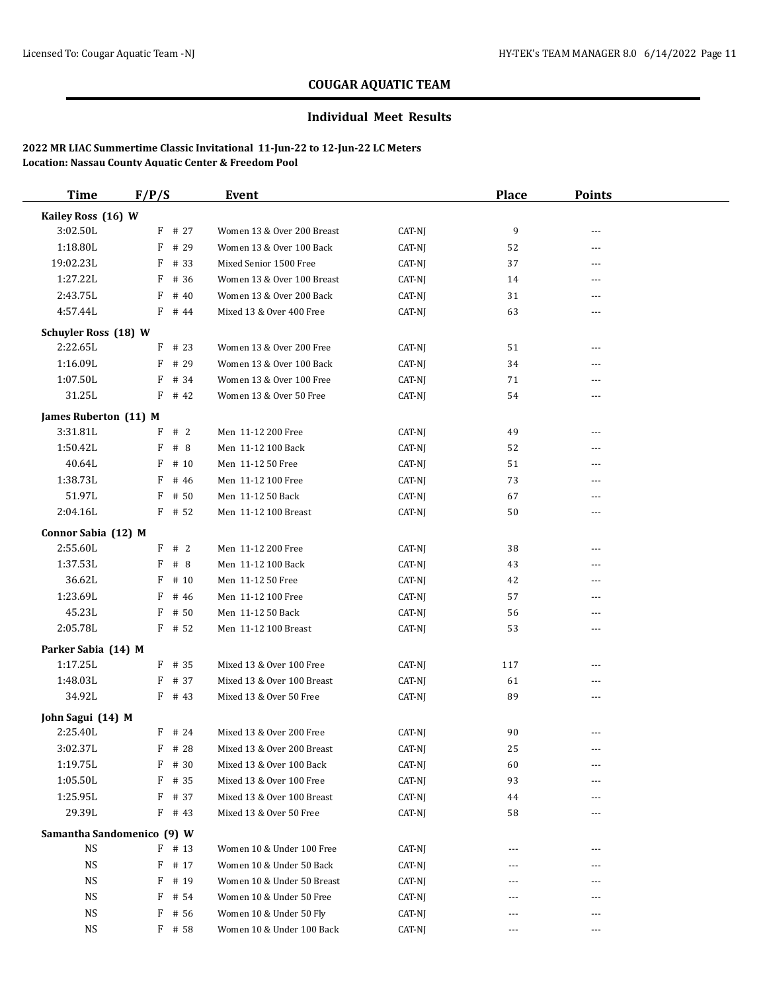### **Individual Meet Results**

| <b>Time</b>                 | F/P/S                      | Event                                                 |                  | <b>Place</b> | <b>Points</b>  |  |
|-----------------------------|----------------------------|-------------------------------------------------------|------------------|--------------|----------------|--|
| Kailey Ross (16) W          |                            |                                                       |                  |              |                |  |
| 3:02.50L                    | $F$ # 27                   | Women 13 & Over 200 Breast                            | CAT-NJ           | 9            | $- - -$        |  |
| 1:18.80L                    | # 29<br>F                  | Women 13 & Over 100 Back                              | CAT-NJ           | 52           | $- - -$        |  |
| 19:02.23L                   | F<br># 33                  | Mixed Senior 1500 Free                                | CAT-NJ           | 37           | $- - -$        |  |
| 1:27.22L                    | F<br># 36                  | Women 13 & Over 100 Breast                            | CAT-NJ           | 14           | $---$          |  |
| 2:43.75L                    | F<br># 40                  | Women 13 & Over 200 Back                              | CAT-NJ           | 31           | ---            |  |
| 4:57.44L                    | $F$ # 44                   | Mixed 13 & Over 400 Free                              | CAT-NJ           | 63           | $- - -$        |  |
| <b>Schuyler Ross (18) W</b> |                            |                                                       |                  |              |                |  |
| 2:22.65L                    | $F$ # 23                   | Women 13 & Over 200 Free                              | CAT-NJ           | 51           | $- - -$        |  |
| 1:16.09L                    | F<br># 29                  | Women 13 & Over 100 Back                              | CAT-NJ           | 34           | $\overline{a}$ |  |
| 1:07.50L                    | F<br># 34                  | Women 13 & Over 100 Free                              | CAT-NJ           | 71           | ---            |  |
| 31.25L                      | $F$ # 42                   | Women 13 & Over 50 Free                               | CAT-NJ           | 54           | ---            |  |
|                             |                            |                                                       |                  |              |                |  |
| James Ruberton (11) M       |                            |                                                       |                  |              |                |  |
| 3:31.81L                    | #2<br>F                    | Men 11-12 200 Free<br>Men 11-12 100 Back              | CAT-NJ           | 49           | $---$          |  |
| 1:50.42L                    | F<br>#8                    |                                                       | CAT-NJ           | 52           | ---            |  |
| 40.64L                      | # 10<br>F                  | Men 11-12 50 Free                                     | CAT-NJ           | 51           | $---$          |  |
| 1:38.73L                    | # 46<br>F                  | Men 11-12 100 Free                                    | CAT-NJ           | 73           | ---            |  |
| 51.97L                      | # 50<br>F                  | Men 11-12 50 Back                                     | CAT-NJ           | 67           | $---$          |  |
| 2:04.16L                    | $F$ # 52                   | Men 11-12 100 Breast                                  | CAT-NJ           | 50           | $\overline{a}$ |  |
| Connor Sabia (12) M         |                            |                                                       |                  |              |                |  |
| 2:55.60L                    | F # 2                      | Men 11-12 200 Free                                    | CAT-NJ           | 38           | $---$          |  |
| 1:37.53L                    | F<br>#8                    | Men 11-12 100 Back                                    | CAT-NJ           | 43           | ---            |  |
| 36.62L                      | F<br># 10                  | Men 11-12 50 Free                                     | CAT-NJ           | 42           | $---$          |  |
| 1:23.69L                    | F<br># 46                  | Men 11-12 100 Free                                    | CAT-NJ           | 57           | ---            |  |
| 45.23L                      | F<br># 50                  | Men 11-12 50 Back                                     | CAT-NJ           | 56           | $\overline{a}$ |  |
| 2:05.78L                    | $F$ # 52                   | Men 11-12 100 Breast                                  | CAT-NJ           | 53           | ---            |  |
| Parker Sabia (14) M         |                            |                                                       |                  |              |                |  |
| 1:17.25L                    | $F$ # 35                   | Mixed 13 & Over 100 Free                              | CAT-NJ           | 117          | $- - -$        |  |
| 1:48.03L                    | $F$ # 37                   | Mixed 13 & Over 100 Breast                            | CAT-NJ           | 61           | ---            |  |
| 34.92L                      | $F$ # 43                   | Mixed 13 & Over 50 Free                               | CAT-NJ           | 89           | $---$          |  |
| John Sagui (14) M           |                            |                                                       |                  |              |                |  |
| 2:25.40L                    | $F$ # 24                   | Mixed 13 & Over 200 Free                              | CAT-NJ           | 90           | $---$          |  |
| 3:02.37L                    | $F$ # 28                   | Mixed 13 & Over 200 Breast                            | CAT-NJ           | 25           |                |  |
| 1:19.75L                    | F<br># 30                  | Mixed 13 & Over 100 Back                              | CAT-NJ           | 60           | $---$          |  |
| 1:05.50L                    | # 35<br>F                  | Mixed 13 & Over 100 Free                              | CAT-NJ           | 93           | ---            |  |
| 1:25.95L                    | # 37<br>F                  | Mixed 13 & Over 100 Breast                            | CAT-NJ           | 44           |                |  |
| 29.39L                      | $F$ # 43                   | Mixed 13 & Over 50 Free                               | CAT-NJ           | 58           |                |  |
|                             |                            |                                                       |                  |              |                |  |
| <b>NS</b>                   | Samantha Sandomenico (9) W |                                                       |                  |              |                |  |
| <b>NS</b>                   | $F$ # 13<br># 17           | Women 10 & Under 100 Free<br>Women 10 & Under 50 Back | CAT-NJ<br>CAT-NJ |              |                |  |
| <b>NS</b>                   | F                          |                                                       |                  |              |                |  |
|                             | F<br># 19                  | Women 10 & Under 50 Breast                            | CAT-NJ           |              |                |  |
| NS                          | # 54<br>F                  | Women 10 & Under 50 Free                              | CAT-NJ           | ---          |                |  |
| NS                          | $F$ # 56                   | Women 10 & Under 50 Fly                               | CAT-NJ           | ---          | ---            |  |
| $_{\rm NS}$                 | $F$ # 58                   | Women 10 & Under 100 Back                             | CAT-NJ           | $\cdots$     | $\cdots$       |  |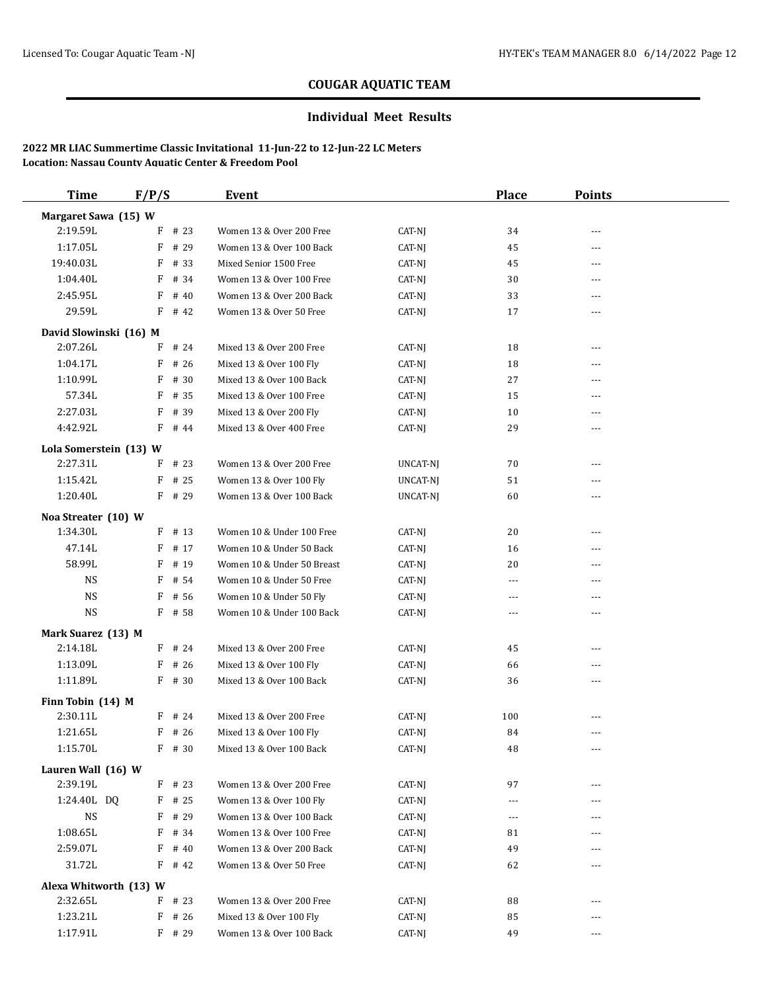### **Individual Meet Results**

| <b>Time</b>                        | F/P/S     | Event                      |          | <b>Place</b> | <b>Points</b>  |  |
|------------------------------------|-----------|----------------------------|----------|--------------|----------------|--|
| Margaret Sawa (15) W               |           |                            |          |              |                |  |
| 2:19.59L                           | $F$ # 23  | Women 13 & Over 200 Free   | CAT-NJ   | 34           | ---            |  |
| 1:17.05L                           | # 29<br>F | Women 13 & Over 100 Back   | CAT-NJ   | 45           | ---            |  |
| 19:40.03L                          | $F$ # 33  | Mixed Senior 1500 Free     | CAT-NJ   | 45           | ---            |  |
| 1:04.40L                           | $F$ # 34  | Women 13 & Over 100 Free   | CAT-NJ   | 30           | ---            |  |
| 2:45.95L                           | F<br># 40 | Women 13 & Over 200 Back   | CAT-NJ   | 33           | $\overline{a}$ |  |
| 29.59L                             | $F$ # 42  | Women 13 & Over 50 Free    | CAT-NJ   | 17           | ---            |  |
| David Slowinski (16) M             |           |                            |          |              |                |  |
| 2:07.26L                           | $F$ # 24  | Mixed 13 & Over 200 Free   | CAT-NJ   | 18           | ---            |  |
| 1:04.17L                           | $F$ # 26  | Mixed 13 & Over 100 Fly    | CAT-NJ   | 18           | $\overline{a}$ |  |
| 1:10.99L                           | $F$ # 30  | Mixed 13 & Over 100 Back   | CAT-NJ   | 27           | ---            |  |
| 57.34L                             | # 35<br>F | Mixed 13 & Over 100 Free   | CAT-NJ   | 15           | $---$          |  |
| 2:27.03L                           | # 39<br>F | Mixed 13 & Over 200 Fly    | CAT-NJ   | 10           | $\overline{a}$ |  |
| 4:42.92L                           | $F$ # 44  | Mixed 13 & Over 400 Free   | CAT-NJ   | 29           | ---            |  |
|                                    |           |                            |          |              |                |  |
| Lola Somerstein (13) W<br>2:27.31L | $F$ # 23  | Women 13 & Over 200 Free   | UNCAT-NJ | 70           | ---            |  |
| 1:15.42L                           | $F$ # 25  | Women 13 & Over 100 Fly    | UNCAT-NJ | 51           | ---            |  |
| 1:20.40L                           | $F$ # 29  | Women 13 & Over 100 Back   |          | 60           | ---            |  |
|                                    |           |                            | UNCAT-NJ |              |                |  |
| Noa Streater (10) W                |           |                            |          |              |                |  |
| 1:34.30L                           | $F$ # 13  | Women 10 & Under 100 Free  | CAT-NJ   | 20           | ---            |  |
| 47.14L                             | $F$ # 17  | Women 10 & Under 50 Back   | CAT-NJ   | 16           | $\overline{a}$ |  |
| 58.99L                             | $F$ # 19  | Women 10 & Under 50 Breast | CAT-NJ   | 20           | $\overline{a}$ |  |
| NS                                 | $F$ # 54  | Women 10 & Under 50 Free   | CAT-NJ   | ---          | ---            |  |
| <b>NS</b>                          | F<br># 56 | Women 10 & Under 50 Fly    | CAT-NJ   | ---          | ---            |  |
| <b>NS</b>                          | $F$ # 58  | Women 10 & Under 100 Back  | CAT-NJ   | ---          | ---            |  |
| Mark Suarez (13) M                 |           |                            |          |              |                |  |
| 2:14.18L                           | $F$ # 24  | Mixed 13 & Over 200 Free   | CAT-NJ   | 45           | ---            |  |
| 1:13.09L                           | F<br># 26 | Mixed 13 & Over 100 Fly    | CAT-NJ   | 66           | $\overline{a}$ |  |
| 1:11.89L                           | $F$ # 30  | Mixed 13 & Over 100 Back   | CAT-NJ   | 36           | ---            |  |
| Finn Tobin (14) M                  |           |                            |          |              |                |  |
| 2:30.11L                           | $F$ # 24  | Mixed 13 & Over 200 Free   | CAT-NJ   | 100          | ---            |  |
| 1:21.65L                           | $F$ # 26  | Mixed 13 & Over 100 Fly    | CAT-NJ   | 84           | $- - -$        |  |
| 1:15.70L                           | $F$ # 30  | Mixed 13 & Over 100 Back   | $CAT-NJ$ | $\rm 48$     |                |  |
| Lauren Wall (16) W                 |           |                            |          |              |                |  |
| 2:39.19L                           | $F$ # 23  | Women 13 & Over 200 Free   | CAT-NJ   | 97           | ---            |  |
| 1:24.40L DQ                        | $F$ # 25  | Women 13 & Over 100 Fly    | CAT-NJ   | ---          | ---            |  |
| <b>NS</b>                          | $F$ # 29  | Women 13 & Over 100 Back   | CAT-NJ   | $\cdots$     | ---            |  |
| 1:08.65L                           | F # 34    | Women 13 & Over 100 Free   | CAT-NJ   | 81           | ---            |  |
| 2:59.07L                           | $F$ # 40  | Women 13 & Over 200 Back   | CAT-NJ   | 49           |                |  |
| 31.72L                             | $F$ # 42  | Women 13 & Over 50 Free    | CAT-NJ   | 62           |                |  |
| Alexa Whitworth (13) W             |           |                            |          |              |                |  |
| 2:32.65L                           | $F$ # 23  | Women 13 & Over 200 Free   | CAT-NJ   | 88           | ---            |  |
| 1:23.21L                           | $F$ # 26  | Mixed 13 & Over 100 Fly    | CAT-NJ   | 85           |                |  |
| 1:17.91L                           | F # 29    | Women 13 & Over 100 Back   | CAT-NJ   | 49           | $\cdots$       |  |
|                                    |           |                            |          |              |                |  |